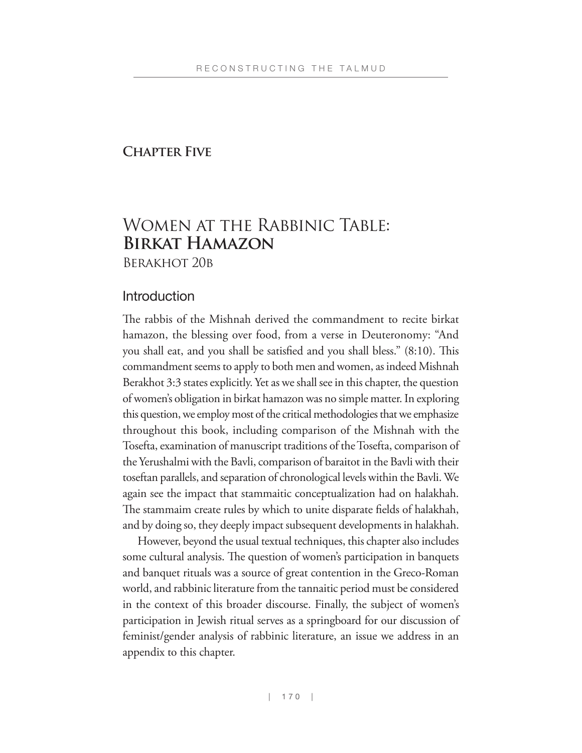## **Chapter Five**

## Women at the Rabbinic Table: **Birkat Hamazon** Berakhot 20b

### **Introduction**

The rabbis of the Mishnah derived the commandment to recite birkat hamazon, the blessing over food, from a verse in Deuteronomy: "And you shall eat, and you shall be satisfed and you shall bless." (8:10). Tis commandment seems to apply to both men and women, as indeed Mishnah Berakhot 3:3 states explicitly. Yet as we shall see in this chapter, the question of women's obligation in birkat hamazon was no simple matter. In exploring this question, we employ most of the critical methodologies that we emphasize throughout this book, including comparison of the Mishnah with the Tosefta, examination of manuscript traditions of the Tosefta, comparison of the Yerushalmi with the Bavli, comparison of baraitot in the Bavli with their toseftan parallels, and separation of chronological levels within the Bavli. We again see the impact that stammaitic conceptualization had on halakhah. The stammaim create rules by which to unite disparate fields of halakhah, and by doing so, they deeply impact subsequent developments in halakhah.

However, beyond the usual textual techniques, this chapter also includes some cultural analysis. The question of women's participation in banquets and banquet rituals was a source of great contention in the Greco-Roman world, and rabbinic literature from the tannaitic period must be considered in the context of this broader discourse. Finally, the subject of women's participation in Jewish ritual serves as a springboard for our discussion of feminist/gender analysis of rabbinic literature, an issue we address in an appendix to this chapter.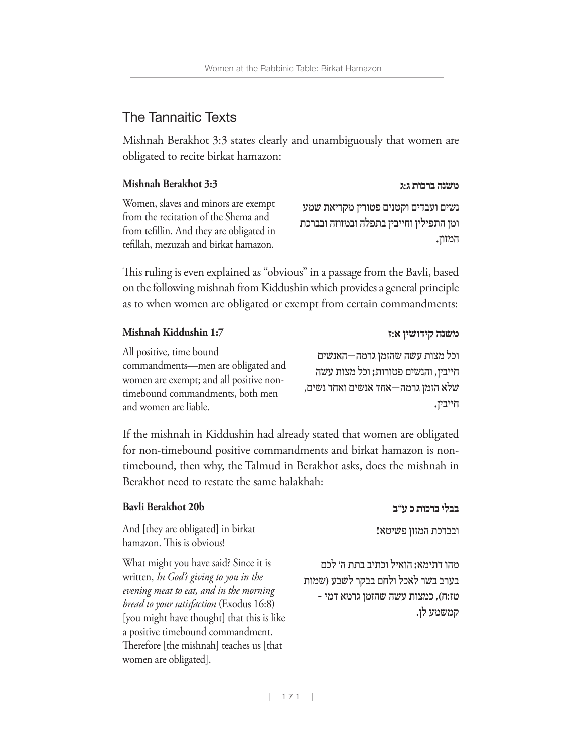## The Tannaitic Texts

Mishnah Berakhot 3:3 states clearly and unambiguously that women are obligated to recite birkat hamazon:

|  | Mishnah Berakhot 3:3 |  |
|--|----------------------|--|
|--|----------------------|--|

 $\mathcal{L}$ 

women are obligated].

#### משנה ברכות ג:ג

Women, slaves and minors are exempt from the recitation of the Shema and from tefillin. And they are obligated in tefillah, mezuzah and birkat hamazon.

נשים ועבדים וקטנים פטורין מקריאת שמע ומן התפילין וחייבין בתפלה ובמזוזה ובברכת המזון.

This ruling is even explained as "obvious" in a passage from the Bavli, based on the following mishnah from Kiddushin which provides a general principle as to when women are obligated or exempt from certain commandments:

| Mishnah Kiddushin 1:7                                                                                                                                                  | משנה קידושין א:ז                                                                                                       |
|------------------------------------------------------------------------------------------------------------------------------------------------------------------------|------------------------------------------------------------------------------------------------------------------------|
| All positive, time bound<br>commandments—men are obligated and<br>women are exempt; and all positive non-<br>timebound commandments, both men<br>and women are liable. | וכל מצות עשה שהזמן גרמה—האנשים<br>חייבין, והנשים פטורות; וכל מצות עשה<br>שלא הזמן גרמה—אחד אנשים ואחד נשים,<br>חייבין. |

If the mishnah in Kiddushin had already stated that women are obligated for non-timebound positive commandments and birkat hamazon is nontimebound, then why, the Talmud in Berakhot asks, does the mishnah in Berakhot need to restate the same halakhah:

| <b>Bayli Berakhot 20b</b>                                                                                                                                                                                                                                                                              | בבלי ברכות כ ע"ב                                                                                                          |
|--------------------------------------------------------------------------------------------------------------------------------------------------------------------------------------------------------------------------------------------------------------------------------------------------------|---------------------------------------------------------------------------------------------------------------------------|
| And [they are obligated] in birkat<br>hamazon. This is obvious!                                                                                                                                                                                                                                        | ובברכת המזון פשיטא!                                                                                                       |
| What might you have said? Since it is<br>written, In God's giving to you in the<br>evening meat to eat, and in the morning<br>bread to your satisfaction (Exodus 16:8)<br>[you might have thought] that this is like<br>a positive timebound commandment.<br>Therefore [the mishnah] teaches us [that] | מהו דתימא: הואיל וכתיב בתת ה' לכם<br>בערב בשר לאכל ולחם בבקר לשבע (שמות<br>טז:ח), כמצות עשה שהזמן גרמא דמי -<br>קמשמע לן. |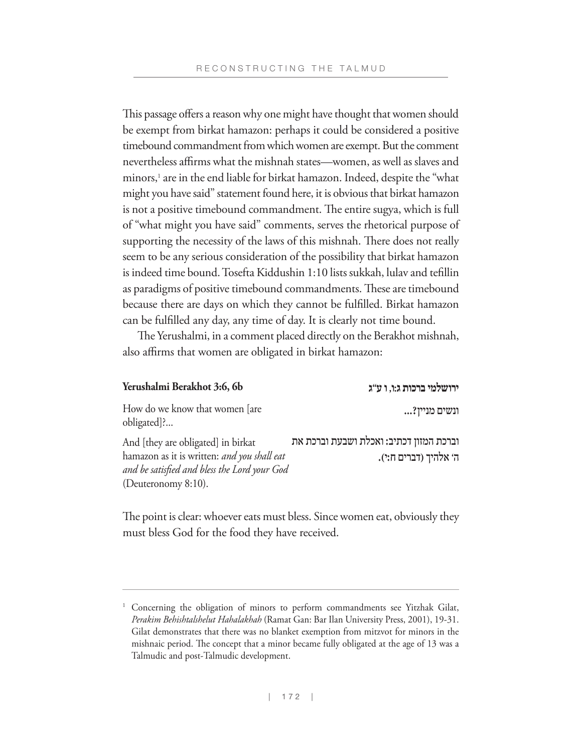This passage offers a reason why one might have thought that women should be exempt from birkat hamazon: perhaps it could be considered a positive timebound commandment from which women are exempt. But the comment nevertheless affirms what the mishnah states—women, as well as slaves and minors,<sup>1</sup> are in the end liable for birkat hamazon. Indeed, despite the "what might you have said" statement found here, it is obvious that birkat hamazon is not a positive timebound commandment. The entire sugya, which is full of "what might you have said" comments, serves the rhetorical purpose of supporting the necessity of the laws of this mishnah. There does not really seem to be any serious consideration of the possibility that birkat hamazon is indeed time bound. Tosefta Kiddushin 1:10 lists sukkah, lulav and tefllin as paradigms of positive timebound commandments. These are timebound because there are days on which they cannot be fulflled. Birkat hamazon can be fulflled any day, any time of day. It is clearly not time bound.

The Yerushalmi, in a comment placed directly on the Berakhot mishnah, also affirms that women are obligated in birkat hamazon:

| Yerushalmi Berakhot 3:6, 6b                                                                                                                              | ירושלמי ברכות ג:ו, ו ע"ג                                         |
|----------------------------------------------------------------------------------------------------------------------------------------------------------|------------------------------------------------------------------|
| How do we know that women [are<br>obligated]?                                                                                                            | ונשים מניין?                                                     |
| And [they are obligated] in birkat<br>hamazon as it is written: and you shall eat<br>and be satisfied and bless the Lord your God<br>(Deuteronomy 8:10). | וברכת המזון דכתיב: ואכלת ושבעת וברכת את<br>ה' אלהיך (דברים ח:י). |

The point is clear: whoever eats must bless. Since women eat, obviously they must bless God for the food they have received.

<sup>&</sup>lt;sup>1</sup> Concerning the obligation of minors to perform commandments see Yitzhak Gilat, *Perakim Behishtalshelut Hahalakhah* (Ramat Gan: Bar Ilan University Press, 2001), 19-31. Gilat demonstrates that there was no blanket exemption from mitzvot for minors in the mishnaic period. The concept that a minor became fully obligated at the age of 13 was a Talmudic and post-Talmudic development.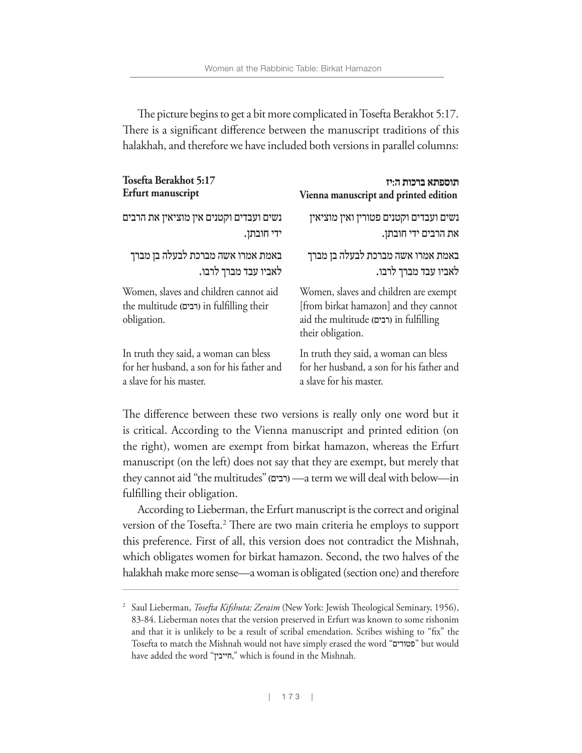Women at the Rabbinic Table: Birkat Hamazon

The picture begins to get a bit more complicated in Tosefta Berakhot 5:17. There is a significant difference between the manuscript traditions of this halakhah, and therefore we have included both versions in parallel columns:

| Tosefta Berakhot 5:17                                                                            | תוספתא ברכות ה:יז                                                                                                                             |
|--------------------------------------------------------------------------------------------------|-----------------------------------------------------------------------------------------------------------------------------------------------|
| Erfurt manuscript                                                                                | Vienna manuscript and printed edition                                                                                                         |
| נשים ועבדים וקטנים אין מוציאין את הרבים                                                          | נשים ועבדים וקטנים פטורין ואין מוציאין                                                                                                        |
| ידי חובתן.                                                                                       | את הרבים ידי חובתן.                                                                                                                           |
| באמת אמרו אשה מברכת לבעלה בן מברך                                                                | באמת אמרו אשה מברכת לבעלה בן מברך                                                                                                             |
| לאביו עבד מברך לרבו.                                                                             | לאביו עבד מברך לרבו.                                                                                                                          |
| Women, slaves and children cannot aid<br>the multitude (רבים) in fulfilling their<br>obligation. | Women, slaves and children are exempt<br>[from birkat hamazon] and they cannot<br>aid the multitude (רבים) in fulfilling<br>their obligation. |
| In truth they said, a woman can bless                                                            | In truth they said, a woman can bless                                                                                                         |
| for her husband, a son for his father and                                                        | for her husband, a son for his father and                                                                                                     |
| a slave for his master.                                                                          | a slave for his master.                                                                                                                       |

The difference between these two versions is really only one word but it is critical. According to the Vienna manuscript and printed edition (on the right), women are exempt from birkat hamazon, whereas the Erfurt manuscript (on the left) does not say that they are exempt, but merely that they cannot aid "the multitudes" (רבים) —a term we will deal with below—in fulflling their obligation.

According to Lieberman, the Erfurt manuscript is the correct and original version of the Tosefta.<sup>2</sup> There are two main criteria he employs to support this preference. First of all, this version does not contradict the Mishnah, which obligates women for birkat hamazon. Second, the two halves of the halakhah make more sense—a woman is obligated (section one) and therefore

<sup>&</sup>lt;sup>2</sup> Saul Lieberman, *Tosefta Kifshuta: Zeraim* (New York: Jewish Theological Seminary, 1956), 83-84. Lieberman notes that the version preserved in Erfurt was known to some rishonim and that it is unlikely to be a result of scribal emendation. Scribes wishing to "fx" the Tosefta to match the Mishnah would not have simply erased the word "פטורים" but would have added the word "חייבין," which is found in the Mishnah.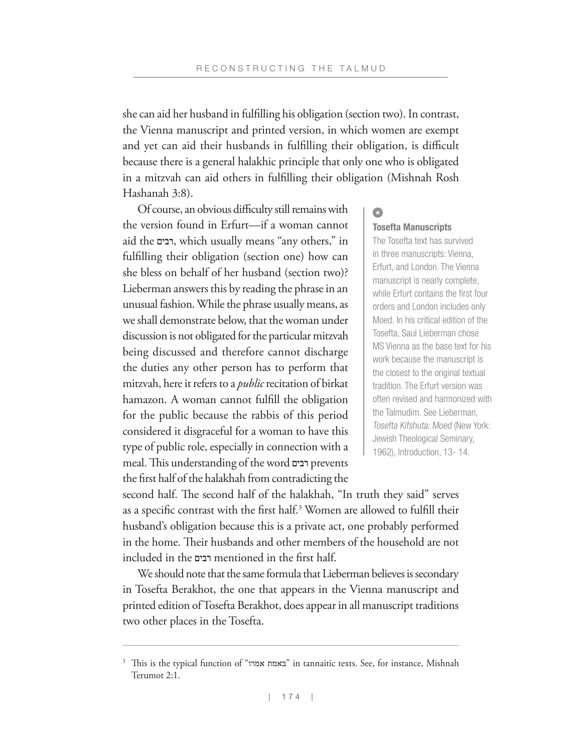she can aid her husband in fulflling his obligation (section two). In contrast, the Vienna manuscript and printed version, in which women are exempt and yet can aid their husbands in fulfilling their obligation, is difficult because there is a general halakhic principle that only one who is obligated in a mitzvah can aid others in fulflling their obligation (Mishnah Rosh Hashanah 3:8).

Of course, an obvious difficulty still remains with the version found in Erfurt—if a woman cannot aid the רבים, which usually means "any others," in fulflling their obligation (section one) how can she bless on behalf of her husband (section two)? Lieberman answers this by reading the phrase in an unusual fashion. While the phrase usually means, as we shall demonstrate below, that the woman under discussion is not obligated for the particular mitzvah being discussed and therefore cannot discharge the duties any other person has to perform that mitzvah, here it refers to a *public* recitation of birkat hamazon. A woman cannot fulfll the obligation for the public because the rabbis of this period considered it disgraceful for a woman to have this type of public role, especially in connection with a meal. This understanding of the word רבים prevents the frst half of the halakhah from contradicting the

#### G **Tosefta Manuscripts**

The Tosefta text has survived in three manuscripts: Vienna, Erfurt, and London. The Vienna manuscript is nearly complete, while Erfurt contains the first four orders and London includes only Moed. In his critical edition of the Tosefta, Saul Lieberman chose MS Vienna as the base text for his work because the manuscript is the closest to the original textual tradition. The Erfurt version was often revised and harmonized with the Talmudim. See Lieberman, Tosefta Kifshuta: Moed (New York: Jewish Theological Seminary, 1962), Introduction, 13- 14.

second half. The second half of the halakhah, "In truth they said" serves as a specific contrast with the first half. $3$  Women are allowed to fulfill their husband's obligation because this is a private act, one probably performed in the home. Their husbands and other members of the household are not included in the רבים mentioned in the first half.

We should note that the same formula that Lieberman believes is secondary in Tosefta Berakhot, the one that appears in the Vienna manuscript and printed edition of Tosefta Berakhot, does appear in all manuscript traditions two other places in the Tosefta.

<sup>&</sup>lt;sup>3</sup> This is the typical function of "באמת אמרו" in tannaitic texts. See, for instance, Mishnah Terumot 2:1.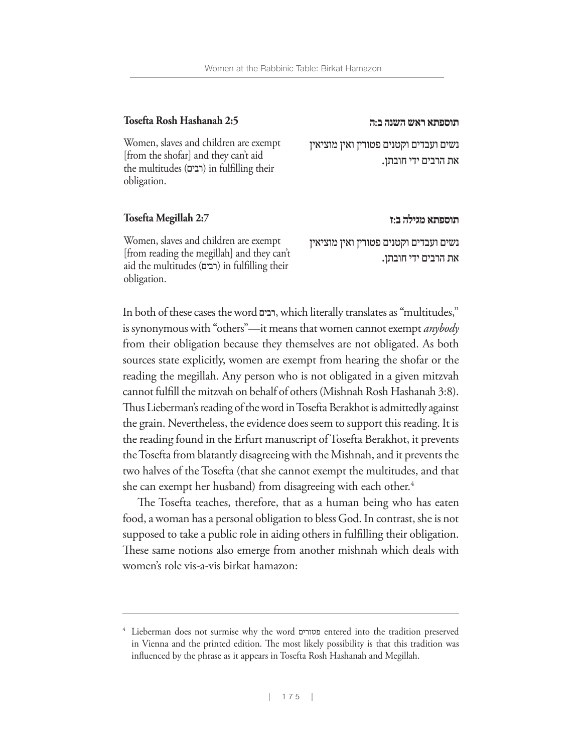#### **Tosefta Rosh Hashanah 2:5 Đ:č ĐĜĥĐ ĥČĤ ČĦĠĝđĦ**

Women, slaves and children are exempt [from the shofar] and they can't aid the multitudes (רבים) in fulfilling their obligation.

#### **Tosefta Megillah 2:7 كينة تونية تونية توفي**ة تونية تونية تونية تونية تونية تونية تونية تونية تونية تونية تونية

Women, slaves and children are exempt [from reading the megillah] and they can't aid the multitudes (רבים) in fulfilling their obligation.

נשים ועבדים וקטנים פטורין ואין מוציאין את הרבים ידי חובתן.

נשים ועבדים וקטנים פטורין ואין מוציאין את הרבים ידי חובתן.

In both of these cases the word רבים, which literally translates as "multitudes," is synonymous with "others"—it means that women cannot exempt *anybody* from their obligation because they themselves are not obligated. As both sources state explicitly, women are exempt from hearing the shofar or the reading the megillah. Any person who is not obligated in a given mitzvah cannot fulfll the mitzvah on behalf of others (Mishnah Rosh Hashanah 3:8). Thus Lieberman's reading of the word in Tosefta Berakhot is admittedly against the grain. Nevertheless, the evidence does seem to support this reading. It is the reading found in the Erfurt manuscript of Tosefta Berakhot, it prevents the Tosefta from blatantly disagreeing with the Mishnah, and it prevents the two halves of the Tosefta (that she cannot exempt the multitudes, and that she can exempt her husband) from disagreeing with each other.<sup>4</sup>

The Tosefta teaches, therefore, that as a human being who has eaten food, a woman has a personal obligation to bless God. In contrast, she is not supposed to take a public role in aiding others in fulflling their obligation. These same notions also emerge from another mishnah which deals with women's role vis-a-vis birkat hamazon:

<sup>4</sup> Lieberman does not surmise why the word פטורים entered into the tradition preserved in Vienna and the printed edition. The most likely possibility is that this tradition was infuenced by the phrase as it appears in Tosefta Rosh Hashanah and Megillah.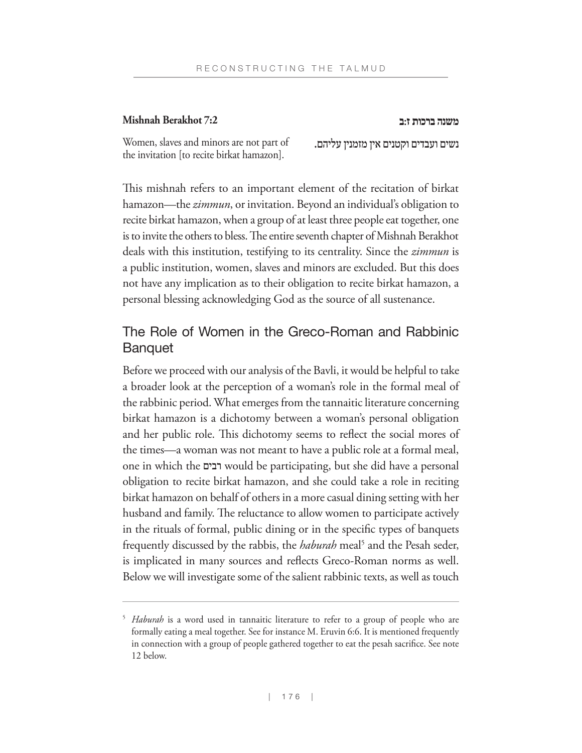#### **Mishnah Berakhot 7:2 ن** قطعة المستقيم المستقيم المستقيم المستقيم المستقيم المستقيم المستقيم المستقيم المستقيم المستقيم المستقيم المستقيم المستقيم المستقيم المستقيم المستقيم المستقيم ا

Women, slaves and minors are not part of  $\,$ komen, slaves and minors are not part of $\,$ the invitation [to recite birkat hamazon].

This mishnah refers to an important element of the recitation of birkat hamazon—the *zimmun*, or invitation. Beyond an individual's obligation to recite birkat hamazon, when a group of at least three people eat together, one is to invite the others to bless. The entire seventh chapter of Mishnah Berakhot deals with this institution, testifying to its centrality. Since the *zimmun* is a public institution, women, slaves and minors are excluded. But this does not have any implication as to their obligation to recite birkat hamazon, a personal blessing acknowledging God as the source of all sustenance.

## The Role of Women in the Greco-Roman and Rabbinic Banquet

Before we proceed with our analysis of the Bavli, it would be helpful to take a broader look at the perception of a woman's role in the formal meal of the rabbinic period. What emerges from the tannaitic literature concerning birkat hamazon is a dichotomy between a woman's personal obligation and her public role. This dichotomy seems to reflect the social mores of the times—a woman was not meant to have a public role at a formal meal, one in which the רבים would be participating, but she did have a personal obligation to recite birkat hamazon, and she could take a role in reciting birkat hamazon on behalf of others in a more casual dining setting with her husband and family. The reluctance to allow women to participate actively in the rituals of formal, public dining or in the specifc types of banquets frequently discussed by the rabbis, the *haburah* meal<sup>5</sup> and the Pesah seder, is implicated in many sources and refects Greco-Roman norms as well. Below we will investigate some of the salient rabbinic texts, as well as touch

<sup>5</sup> *Haburah* is a word used in tannaitic literature to refer to a group of people who are formally eating a meal together. See for instance M. Eruvin 6:6. It is mentioned frequently in connection with a group of people gathered together to eat the pesah sacrifce. See note 12 below.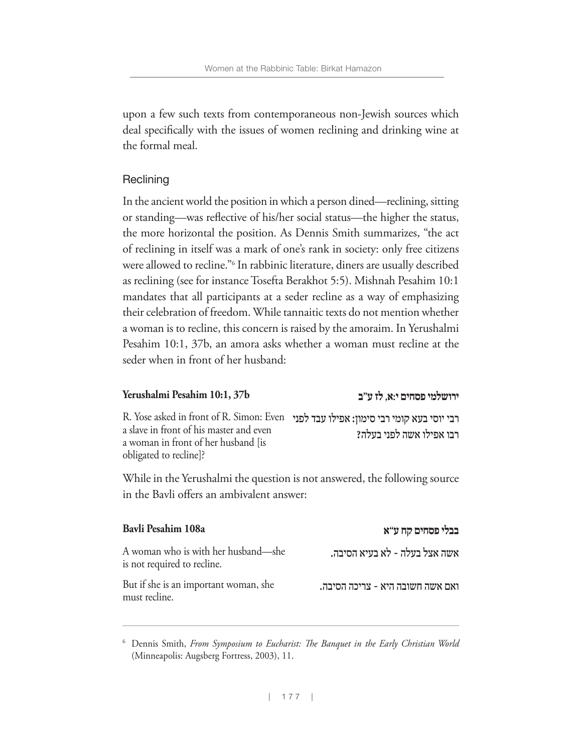upon a few such texts from contemporaneous non-Jewish sources which deal specifically with the issues of women reclining and drinking wine at the formal meal.

#### Reclining

In the ancient world the position in which a person dined-reclining, sitting or standing—was reflective of his/her social status—the higher the status, the more horizontal the position. As Dennis Smith summarizes, "the act of reclining in itself was a mark of one's rank in society: only free citizens were allowed to recline."<sup>6</sup> In rabbinic literature, diners are usually described as reclining (see for instance Tosefta Berakhot 5:5). Mishnah Pesahim 10:1 mandates that all participants at a seder recline as a way of emphasizing their celebration of freedom. While tannaitic texts do not mention whether a woman is to recline, this concern is raised by the amoraim. In Yerushalmi Pesahim 10:1, 37b, an amora asks whether a woman must recline at the seder when in front of her husband:

#### Yerushalmi Pesahim 10:1, 37b

ירושלמי פסחים י:א. לז ע"ב

R. Yose asked in front of R. Simon: Even רבי יוסי בעא קומי רבי סימון: אפילו עבד לפני a slave in front of his master and even רבו אפילו אשה לפני בעלה? a woman in front of her husband [is obligated to recline]?

While in the Yerushalmi the question is not answered, the following source in the Bayli offers an ambivalent answer:

| Bavli Pesahim 108a                                                 | בבלי פסחים קח ע"א                |
|--------------------------------------------------------------------|----------------------------------|
| A woman who is with her husband—she<br>is not required to recline. | אשה אצל בעלה - לא בעיא הסיבה.    |
| But if she is an important woman, she<br>must recline.             | ואם אשה חשובה היא - צריכה הסיבה. |

<sup>6</sup> Dennis Smith, From Symposium to Eucharist: The Banquet in the Early Christian World (Minneapolis: Augsberg Fortress, 2003), 11.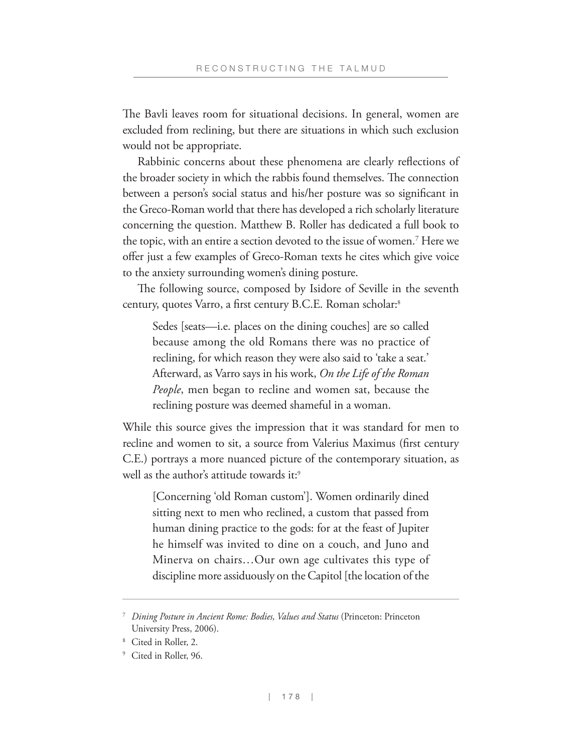The Bavli leaves room for situational decisions. In general, women are excluded from reclining, but there are situations in which such exclusion would not be appropriate.

Rabbinic concerns about these phenomena are clearly refections of the broader society in which the rabbis found themselves. The connection between a person's social status and his/her posture was so signifcant in the Greco-Roman world that there has developed a rich scholarly literature concerning the question. Matthew B. Roller has dedicated a full book to the topic, with an entire a section devoted to the issue of women.7 Here we ofer just a few examples of Greco-Roman texts he cites which give voice to the anxiety surrounding women's dining posture.

The following source, composed by Isidore of Seville in the seventh century, quotes Varro, a frst century B.C.E. Roman scholar:8

Sedes [seats—i.e. places on the dining couches] are so called because among the old Romans there was no practice of reclining, for which reason they were also said to 'take a seat.' Afterward, as Varro says in his work, *On the Life of the Roman People*, men began to recline and women sat, because the reclining posture was deemed shameful in a woman.

While this source gives the impression that it was standard for men to recline and women to sit, a source from Valerius Maximus (frst century C.E.) portrays a more nuanced picture of the contemporary situation, as well as the author's attitude towards it:<sup>9</sup>

[Concerning 'old Roman custom']. Women ordinarily dined sitting next to men who reclined, a custom that passed from human dining practice to the gods: for at the feast of Jupiter he himself was invited to dine on a couch, and Juno and Minerva on chairs…Our own age cultivates this type of discipline more assiduously on the Capitol [the location of the

<sup>7</sup> *Dining Posture in Ancient Rome: Bodies, Values and Status* (Princeton: Princeton University Press, 2006).

<sup>8</sup> Cited in Roller, 2.

<sup>9</sup> Cited in Roller, 96.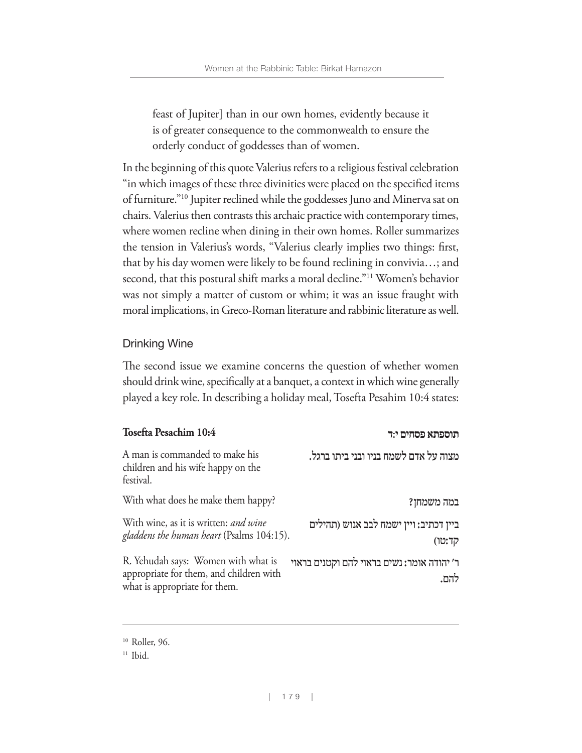feast of Jupiter] than in our own homes, evidently because it is of greater consequence to the commonwealth to ensure the orderly conduct of goddesses than of women.

In the beginning of this quote Valerius refers to a religious festival celebration "in which images of these three divinities were placed on the specifed items of furniture."10 Jupiter reclined while the goddesses Juno and Minerva sat on chairs. Valerius then contrasts this archaic practice with contemporary times, where women recline when dining in their own homes. Roller summarizes the tension in Valerius's words, "Valerius clearly implies two things: frst, that by his day women were likely to be found reclining in convivia…; and second, that this postural shift marks a moral decline."11 Women's behavior was not simply a matter of custom or whim; it was an issue fraught with moral implications, in Greco-Roman literature and rabbinic literature as well.

#### Drinking Wine

The second issue we examine concerns the question of whether women should drink wine, specifcally at a banquet, a context in which wine generally played a key role. In describing a holiday meal, Tosefta Pesahim 10:4 states:

| <b>Tosefta Pesachim 10:4</b>                                                                                    | תוספתא פסחים י:ד                                   |
|-----------------------------------------------------------------------------------------------------------------|----------------------------------------------------|
| A man is commanded to make his<br>children and his wife happy on the<br>festival.                               | מצוה על אדם לשמח בניו ובני ביתו ברגל.              |
| With what does he make them happy?                                                                              | במה משמחן?                                         |
| With wine, as it is written: and wine<br>gladdens the human heart (Psalms 104:15).                              | ביין דכתיב: ויין ישמח לבב אנוש (תהילים<br>קד:טו)   |
| R. Yehudah says: Women with what is<br>appropriate for them, and children with<br>what is appropriate for them. | ר' יהודה אומר: נשים בראוי להם וקטנים בראוי<br>להם. |

<sup>10</sup> Roller, 96.

 $11$  Ibid.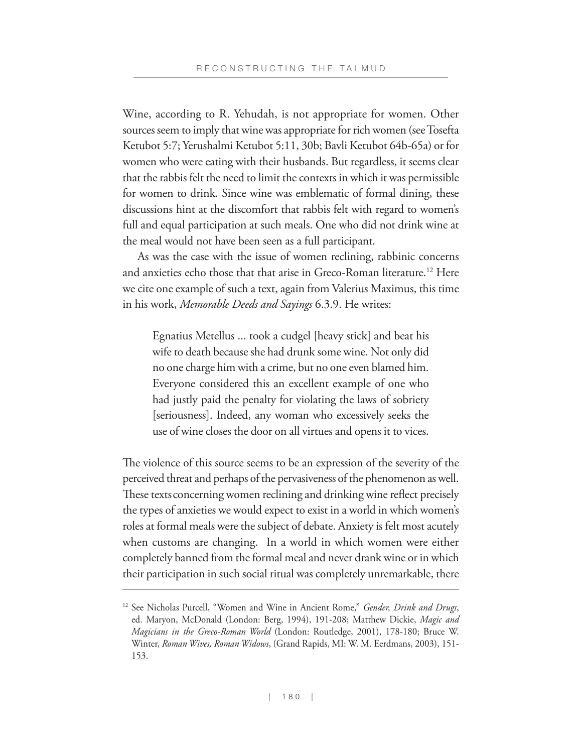Wine, according to R. Yehudah, is not appropriate for women. Other sources seem to imply that wine was appropriate for rich women (see Tosefta Ketubot 5:7; Yerushalmi Ketubot 5:11, 30b; Bavli Ketubot 64b-65a) or for women who were eating with their husbands. But regardless, it seems clear that the rabbis felt the need to limit the contexts in which it was permissible for women to drink. Since wine was emblematic of formal dining, these discussions hint at the discomfort that rabbis felt with regard to women's full and equal participation at such meals. One who did not drink wine at the meal would not have been seen as a full participant.

As was the case with the issue of women reclining, rabbinic concerns and anxieties echo those that that arise in Greco-Roman literature.12 Here we cite one example of such a text, again from Valerius Maximus, this time in his work, *Memorable Deeds and Sayings* 6.3.9. He writes:

Egnatius Metellus ... took a cudgel [heavy stick] and beat his wife to death because she had drunk some wine. Not only did no one charge him with a crime, but no one even blamed him. Everyone considered this an excellent example of one who had justly paid the penalty for violating the laws of sobriety [seriousness]. Indeed, any woman who excessively seeks the use of wine closes the door on all virtues and opens it to vices.

The violence of this source seems to be an expression of the severity of the perceived threat and perhaps of the pervasiveness of the phenomenon as well. These texts concerning women reclining and drinking wine reflect precisely the types of anxieties we would expect to exist in a world in which women's roles at formal meals were the subject of debate. Anxiety is felt most acutely when customs are changing. In a world in which women were either completely banned from the formal meal and never drank wine or in which their participation in such social ritual was completely unremarkable, there

<sup>12</sup> See Nicholas Purcell, "Women and Wine in Ancient Rome," *Gender, Drink and Drugs*, ed. Maryon, McDonald (London: Berg, 1994), 191-208; Matthew Dickie, *Magic and Magicians in the Greco-Roman World* (London: Routledge, 2001), 178-180; Bruce W. Winter, *Roman Wives, Roman Widows*, (Grand Rapids, MI: W. M. Eerdmans, 2003), 151- 153.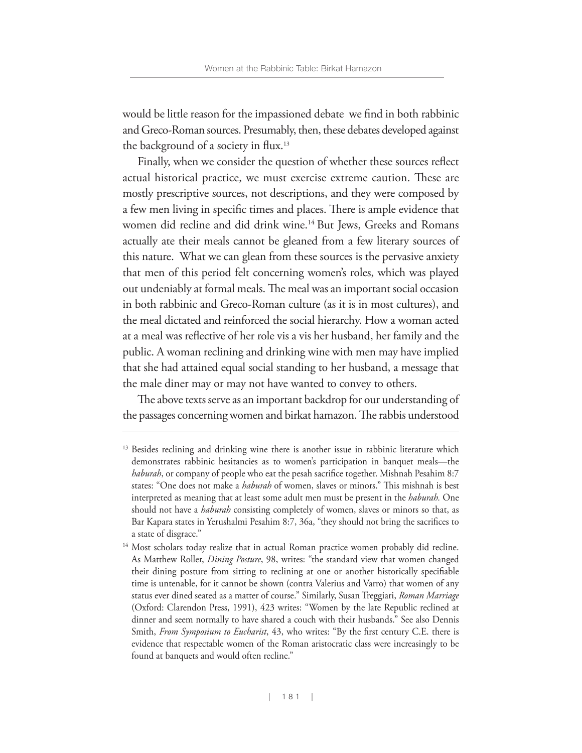would be little reason for the impassioned debate we fnd in both rabbinic and Greco-Roman sources. Presumably, then, these debates developed against the background of a society in flux.<sup>13</sup>

Finally, when we consider the question of whether these sources refect actual historical practice, we must exercise extreme caution. These are mostly prescriptive sources, not descriptions, and they were composed by a few men living in specific times and places. There is ample evidence that women did recline and did drink wine.<sup>14</sup> But Jews, Greeks and Romans actually ate their meals cannot be gleaned from a few literary sources of this nature. What we can glean from these sources is the pervasive anxiety that men of this period felt concerning women's roles, which was played out undeniably at formal meals. The meal was an important social occasion in both rabbinic and Greco-Roman culture (as it is in most cultures), and the meal dictated and reinforced the social hierarchy. How a woman acted at a meal was refective of her role vis a vis her husband, her family and the public. A woman reclining and drinking wine with men may have implied that she had attained equal social standing to her husband, a message that the male diner may or may not have wanted to convey to others.

The above texts serve as an important backdrop for our understanding of the passages concerning women and birkat hamazon. The rabbis understood

<sup>&</sup>lt;sup>13</sup> Besides reclining and drinking wine there is another issue in rabbinic literature which demonstrates rabbinic hesitancies as to women's participation in banquet meals—the *haburah*, or company of people who eat the pesah sacrifce together. Mishnah Pesahim 8:7 states: "One does not make a *haburah* of women, slaves or minors." This mishnah is best interpreted as meaning that at least some adult men must be present in the *haburah.* One should not have a *haburah* consisting completely of women, slaves or minors so that, as Bar Kapara states in Yerushalmi Pesahim 8:7, 36a, "they should not bring the sacrifces to a state of disgrace."

<sup>&</sup>lt;sup>14</sup> Most scholars today realize that in actual Roman practice women probably did recline. As Matthew Roller, *Dining Posture*, 98, writes: "the standard view that women changed their dining posture from sitting to reclining at one or another historically specifable time is untenable, for it cannot be shown (contra Valerius and Varro) that women of any status ever dined seated as a matter of course." Similarly, Susan Treggiari, *Roman Marriage* (Oxford: Clarendon Press, 1991), 423 writes: "Women by the late Republic reclined at dinner and seem normally to have shared a couch with their husbands." See also Dennis Smith, *From Symposium to Eucharist*, 43, who writes: "By the frst century C.E. there is evidence that respectable women of the Roman aristocratic class were increasingly to be found at banquets and would often recline."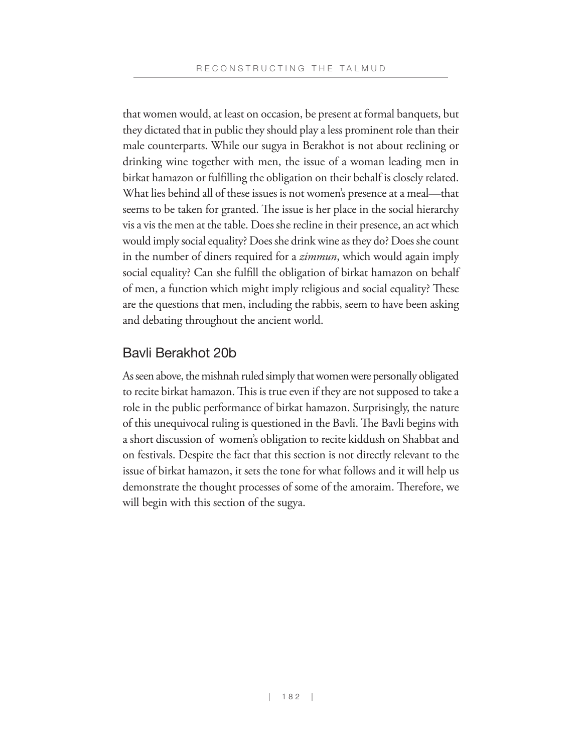that women would, at least on occasion, be present at formal banquets, but they dictated that in public they should play a less prominent role than their male counterparts. While our sugya in Berakhot is not about reclining or drinking wine together with men, the issue of a woman leading men in birkat hamazon or fulflling the obligation on their behalf is closely related. What lies behind all of these issues is not women's presence at a meal—that seems to be taken for granted. The issue is her place in the social hierarchy vis a vis the men at the table. Does she recline in their presence, an act which would imply social equality? Does she drink wine as they do? Does she count in the number of diners required for a *zimmun*, which would again imply social equality? Can she fulfll the obligation of birkat hamazon on behalf of men, a function which might imply religious and social equality? These are the questions that men, including the rabbis, seem to have been asking and debating throughout the ancient world.

## Bavli Berakhot 20b

As seen above, the mishnah ruled simply that women were personally obligated to recite birkat hamazon. This is true even if they are not supposed to take a role in the public performance of birkat hamazon. Surprisingly, the nature of this unequivocal ruling is questioned in the Bavli. The Bavli begins with a short discussion of women's obligation to recite kiddush on Shabbat and on festivals. Despite the fact that this section is not directly relevant to the issue of birkat hamazon, it sets the tone for what follows and it will help us demonstrate the thought processes of some of the amoraim. Therefore, we will begin with this section of the sugya.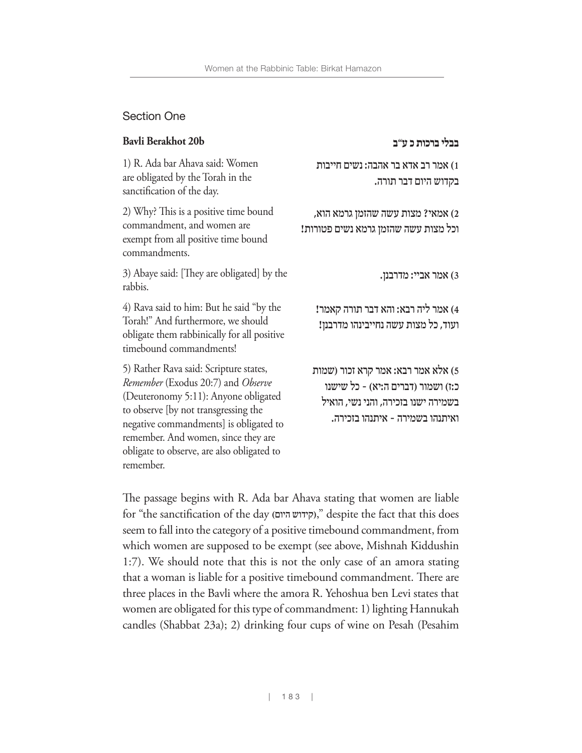#### Section One

#### **Bavli Berakhot 20b تحد**לי ברכות כ

1) R. Ada bar Ahava said: Women are obligated by the Torah in the sanctifcation of the day.

2) Why? This is a positive time bound commandment, and women are exempt from all positive time bound commandments.

3) Abaye said: [They are obligated] by the rabbis.

4) Rava said to him: But he said "by the Torah!" And furthermore, we should obligate them rabbinically for all positive timebound commandments!

5) Rather Rava said: Scripture states, *Remember* (Exodus 20:7) and *Observe* (Deuteronomy 5:11): Anyone obligated to observe [by not transgressing the negative commandments] is obligated to remember. And women, since they are obligate to observe, are also obligated to remember.

1) אמר רב אדא בר אהבה: נשים חייבות בקדוש היום דבר תורה.

,ממאי? מצות עשה שהזמן גרמא הוא !וכל מצות עשה שהזמן גרמא נשים פטורות

.é) אמר אביי: מדרבנן

!) אמר ליה רבא: והא דבר תורה קאמר !עוד, כל מצות עשה נחייבינהו מדרבנן

5) אלא אמר רבא: אמר קרא זכור (שמות כ:ז) ושמור (דברים ה:יא) - כל שישנו בשמירה ישנו בזכירה, והני נשי, הואיל .דאיתנהו בשמירה - איתנהו בזכירה

The passage begins with R. Ada bar Ahava stating that women are liable for "the sanctification of the day (קידוש היום)," despite the fact that this does seem to fall into the category of a positive timebound commandment, from which women are supposed to be exempt (see above, Mishnah Kiddushin 1:7). We should note that this is not the only case of an amora stating that a woman is liable for a positive timebound commandment. There are three places in the Bavli where the amora R. Yehoshua ben Levi states that women are obligated for this type of commandment: 1) lighting Hannukah candles (Shabbat 23a); 2) drinking four cups of wine on Pesah (Pesahim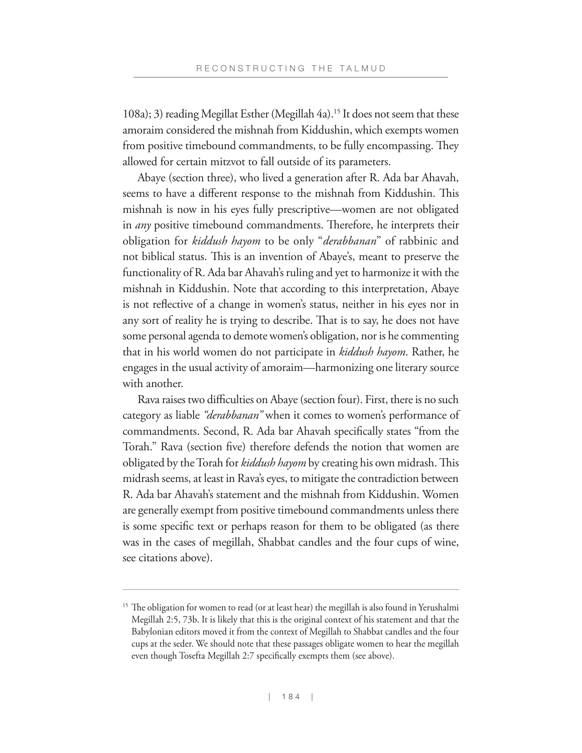108a); 3) reading Megillat Esther (Megillah 4a).<sup>15</sup> It does not seem that these amoraim considered the mishnah from Kiddushin, which exempts women from positive timebound commandments, to be fully encompassing. They allowed for certain mitzvot to fall outside of its parameters.

Abaye (section three), who lived a generation after R. Ada bar Ahavah, seems to have a different response to the mishnah from Kiddushin. This mishnah is now in his eyes fully prescriptive—women are not obligated in *any* positive timebound commandments. Therefore, he interprets their obligation for *kiddush hayom* to be only "*derabbanan*" of rabbinic and not biblical status. This is an invention of Abaye's, meant to preserve the functionality of R. Ada bar Ahavah's ruling and yet to harmonize it with the mishnah in Kiddushin. Note that according to this interpretation, Abaye is not refective of a change in women's status, neither in his eyes nor in any sort of reality he is trying to describe. That is to say, he does not have some personal agenda to demote women's obligation, nor is he commenting that in his world women do not participate in *kiddush hayom*. Rather, he engages in the usual activity of amoraim—harmonizing one literary source with another.

Rava raises two difficulties on Abaye (section four). First, there is no such category as liable *"derabbanan"* when it comes to women's performance of commandments. Second, R. Ada bar Ahavah specifcally states "from the Torah." Rava (section fve) therefore defends the notion that women are obligated by the Torah for *kiddush hayom* by creating his own midrash. This midrash seems, at least in Rava's eyes, to mitigate the contradiction between R. Ada bar Ahavah's statement and the mishnah from Kiddushin. Women are generally exempt from positive timebound commandments unless there is some specifc text or perhaps reason for them to be obligated (as there was in the cases of megillah, Shabbat candles and the four cups of wine, see citations above).

 $15$  The obligation for women to read (or at least hear) the megillah is also found in Yerushalmi Megillah 2:5, 73b. It is likely that this is the original context of his statement and that the Babylonian editors moved it from the context of Megillah to Shabbat candles and the four cups at the seder. We should note that these passages obligate women to hear the megillah even though Tosefta Megillah 2:7 specifcally exempts them (see above).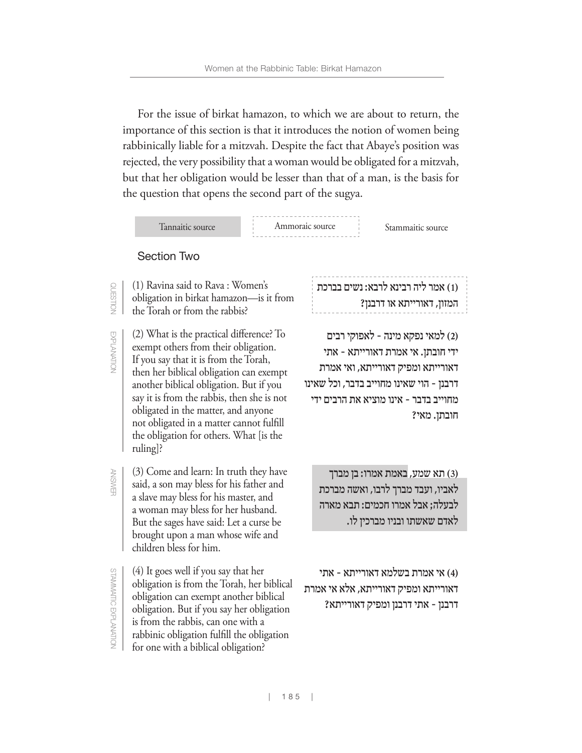For the issue of birkat hamazon, to which we are about to return, the importance of this section is that it introduces the notion of women being rabbinically liable for a mitzvah. Despite the fact that Abaye's position was rejected, the very possibility that a woman would be obligated for a mitzvah, but that her obligation would be lesser than that of a man, is the basis for the question that opens the second part of the sugya.

| SOUTCE | Ammoraic source | Stamma |
|--------|-----------------|--------|

utic source

#### **Section Two**

Tannaitic

(1) Ravina said to Rava: Women's obligation in birkat hamazon-is it from the Torah or from the rabbis?

**EXPLANATION** 

NSWE

SER

ğ

(2) What is the practical difference? To exempt others from their obligation. If you say that it is from the Torah, then her biblical obligation can exempt another biblical obligation. But if you say it is from the rabbis, then she is not obligated in the matter, and anyone not obligated in a matter cannot fulfill the obligation for others. What [is the ruling?

(3) Come and learn: In truth they have said, a son may bless for his father and a slave may bless for his master, and a woman may bless for her husband. But the sages have said: Let a curse be brought upon a man whose wife and children bless for him.

(4) It goes well if you say that her STAMMAITIC EXPLANATION obligation is from the Torah, her biblical obligation can exempt another biblical obligation. But if you say her obligation is from the rabbis, can one with a rabbinic obligation fulfill the obligation for one with a biblical obligation?

(1) אמר ליה רבינא לרבא: נשים בברכת המזון, דאורייתא או דרבנן?

(2) למאי נפקא מינה - לאפוקי רבים ידי חובתן. אי אמרת דאורייתא - אתי דאורייתא ומפיק דאורייתא, ואי אמרת דרבנן - הוי שאינו מחוייב בדבר, וכל שאינו מחוייב בדבר - אינו מוציא את הרבים ידי חובתן. מאי?

(3) תא שמע, באמת אמרו: בן מברך לאביו, ועבד מברך לרבו, ואשה מברכת לבעלה; אבל אמרו חכמים: תבא מארה לאדם שאשתו ובניו מברכין לו.

אי אמרת בשלמא דאורייתא - אתי (4) דאורייתא ומפיק דאורייתא, אלא אי אמרת דרבנן - אתי דרבנן ומפיק דאורייתא?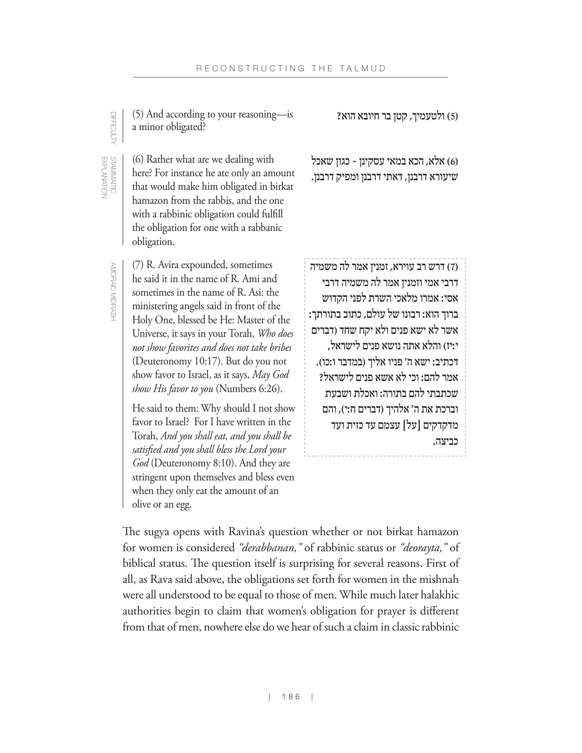(5) And according to your reasoning-is a minor obligated?

(5) ולטעמיך, קטן בר חיובא הוא?

(6) Rather what are we dealing with here? For instance he ate only an amount that would make him obligated in birkat hamazon from the rabbis, and the one with a rabbinic obligation could fulfill the obligation for one with a rabbanic obligation.

AMORAIC MIDRASH

DIFFICULTY

STAMMATIC<br>EXPLANATION

(7) R. Avira expounded, sometimes he said it in the name of R. Ami and sometimes in the name of R. Asi: the ministering angels said in front of the Holy One, blessed be He: Master of the Universe, it says in your Torah, Who does not show favorites and does not take bribes (Deuteronomy 10:17). But do you not show favor to Israel, as it says, May God show His favor to you (Numbers 6:26).

He said to them: Why should I not show favor to Israel? For I have written in the Torah, And you shall eat, and you shall be satisfied and you shall bless the Lord your God (Deuteronomy 8:10). And they are stringent upon themselves and bless even when they only eat the amount of an olive or an egg.

(6) אלא, הכא במאי עסקינן - כגון שאכל שיעורא דרבנן, דאתי דרבנן ומפיק דרבנן.

(7) דרש רב עוירא, זמנין אמר לה משמיה דרבי אמי וזמנין אמר לה משמיה דרבי אסי: אמרו מלאכי השרת לפני הקדוש ברוך הוא: רבונו של עולם, כתוב בתורתך: אשר לא ישא פנים ולא יקח שחד (דברים י:יז) והלא אתה נושא פנים לישראל, דכתיב: ישא ה' פניו אליך (במדבר ו:כו). אמר להם: וכי לא אשא פנים לישראל? שכתבתי להם בתורה: ואכלת ושבעת וברכת את ה' אלהיד (דברים ח:י). והם מדקדקים [על] עצמם עד כזית ועד כביצה.

The sugya opens with Ravina's question whether or not birkat hamazon for women is considered "derabbanan," of rabbinic status or "deorayta," of biblical status. The question itself is surprising for several reasons. First of all, as Rava said above, the obligations set forth for women in the mishnah were all understood to be equal to those of men. While much later halakhic authorities begin to claim that women's obligation for prayer is different from that of men, nowhere else do we hear of such a claim in classic rabbinic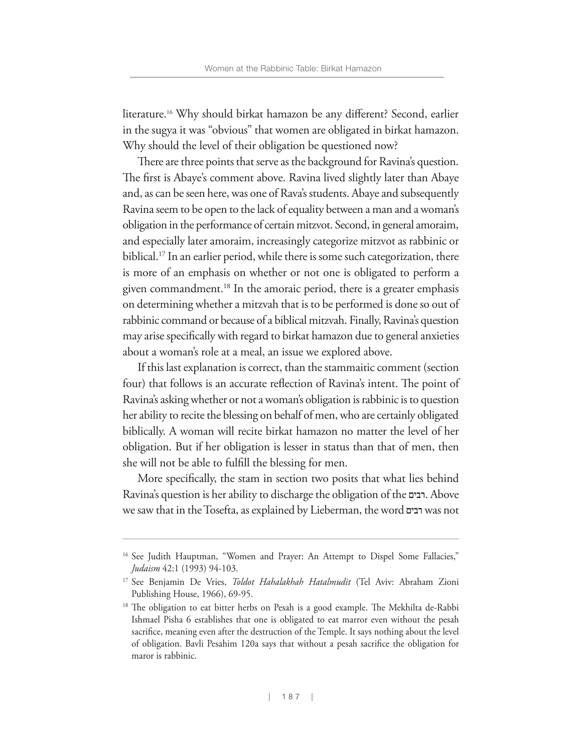literature.16 Why should birkat hamazon be any diferent? Second, earlier in the sugya it was "obvious" that women are obligated in birkat hamazon. Why should the level of their obligation be questioned now?

There are three points that serve as the background for Ravina's question. The first is Abaye's comment above. Ravina lived slightly later than Abaye and, as can be seen here, was one of Rava's students. Abaye and subsequently Ravina seem to be open to the lack of equality between a man and a woman's obligation in the performance of certain mitzvot. Second, in general amoraim, and especially later amoraim, increasingly categorize mitzvot as rabbinic or biblical.17 In an earlier period, while there is some such categorization, there is more of an emphasis on whether or not one is obligated to perform a given commandment.<sup>18</sup> In the amoraic period, there is a greater emphasis on determining whether a mitzvah that is to be performed is done so out of rabbinic command or because of a biblical mitzvah. Finally, Ravina's question may arise specifcally with regard to birkat hamazon due to general anxieties about a woman's role at a meal, an issue we explored above.

If this last explanation is correct, than the stammaitic comment (section four) that follows is an accurate reflection of Ravina's intent. The point of Ravina's asking whether or not a woman's obligation is rabbinic is to question her ability to recite the blessing on behalf of men, who are certainly obligated biblically. A woman will recite birkat hamazon no matter the level of her obligation. But if her obligation is lesser in status than that of men, then she will not be able to fulfll the blessing for men.

More specifcally, the stam in section two posits that what lies behind Ravina's question is her ability to discharge the obligation of the ר**בים**. Above we saw that in the Tosefta, as explained by Lieberman, the word רבים was not

<sup>&</sup>lt;sup>16</sup> See Judith Hauptman, "Women and Prayer: An Attempt to Dispel Some Fallacies," *Judaism* 42:1 (1993) 94-103.

<sup>17</sup> See Benjamin De Vries, *Toldot Hahalakhah Hatalmudit* (Tel Aviv: Abraham Zioni Publishing House, 1966), 69-95.

 $18$  The obligation to eat bitter herbs on Pesah is a good example. The Mekhilta de-Rabbi Ishmael Pisha 6 establishes that one is obligated to eat marror even without the pesah sacrifce, meaning even after the destruction of the Temple. It says nothing about the level of obligation. Bavli Pesahim 120a says that without a pesah sacrifce the obligation for maror is rabbinic.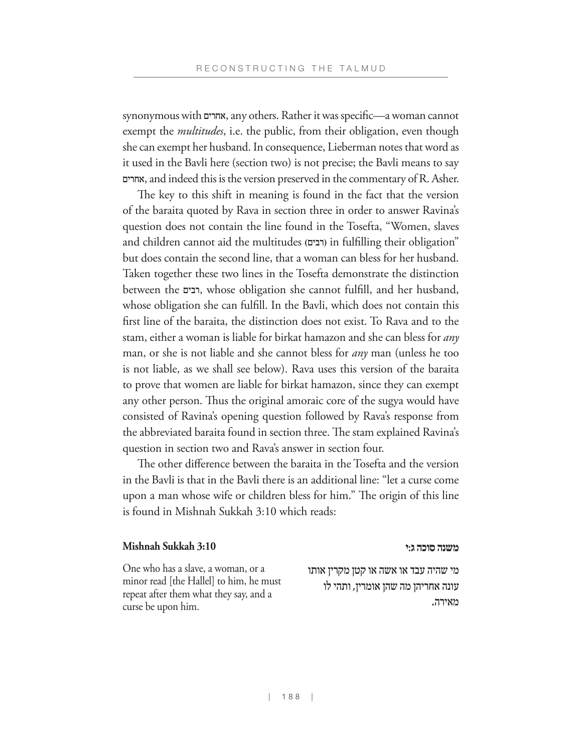synonymous with אחרים, any others. Rather it was specific—a woman cannot exempt the *multitudes*, i.e. the public, from their obligation, even though she can exempt her husband. In consequence, Lieberman notes that word as it used in the Bavli here (section two) is not precise; the Bavli means to say אחרים, and indeed this is the version preserved in the commentary of R. Asher.

The key to this shift in meaning is found in the fact that the version of the baraita quoted by Rava in section three in order to answer Ravina's question does not contain the line found in the Tosefta, "Women, slaves and children cannot aid the multitudes (רבים) in fulfilling their obligation" but does contain the second line, that a woman can bless for her husband. Taken together these two lines in the Tosefta demonstrate the distinction between the רבים, whose obligation she cannot fulfill, and her husband, whose obligation she can fulfll. In the Bavli, which does not contain this frst line of the baraita, the distinction does not exist. To Rava and to the stam, either a woman is liable for birkat hamazon and she can bless for *any* man, or she is not liable and she cannot bless for *any* man (unless he too is not liable, as we shall see below). Rava uses this version of the baraita to prove that women are liable for birkat hamazon, since they can exempt any other person. Thus the original amoraic core of the sugya would have consisted of Ravina's opening question followed by Rava's response from the abbreviated baraita found in section three. The stam explained Ravina's question in section two and Rava's answer in section four.

The other difference between the baraita in the Tosefta and the version in the Bavli is that in the Bavli there is an additional line: "let a curse come upon a man whose wife or children bless for him." The origin of this line is found in Mishnah Sukkah 3:10 which reads:

#### **Mishnah Sukkah 3:10 ĕ:Ď Đėđĝ ĐĜĥĚ**

One who has a slave, a woman, or a minor read [the Hallel] to him, he must repeat after them what they say, and a curse be upon him.

מי שהיה עבד או אשה או קטן מקרין אותו עונה אחריהן מה שהן אומרין, ותהי לו מאירה.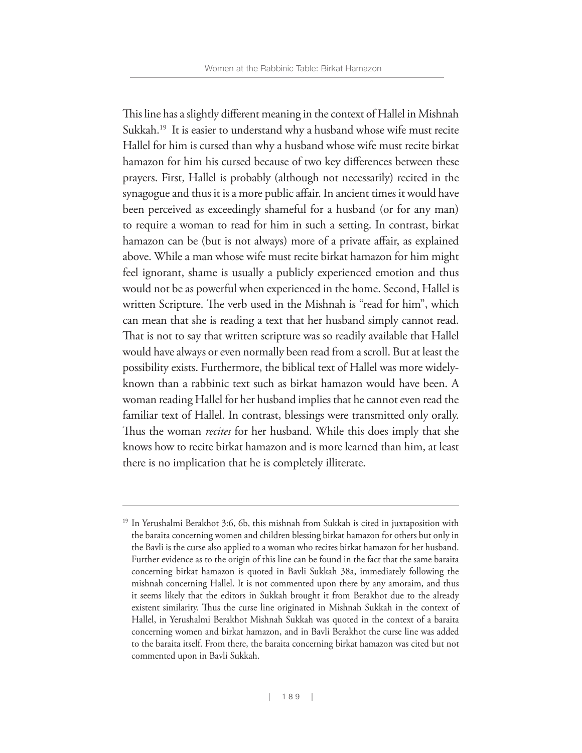This line has a slightly different meaning in the context of Hallel in Mishnah Sukkah.<sup>19</sup> It is easier to understand why a husband whose wife must recite Hallel for him is cursed than why a husband whose wife must recite birkat hamazon for him his cursed because of two key diferences between these prayers. First, Hallel is probably (although not necessarily) recited in the synagogue and thus it is a more public affair. In ancient times it would have been perceived as exceedingly shameful for a husband (or for any man) to require a woman to read for him in such a setting. In contrast, birkat hamazon can be (but is not always) more of a private affair, as explained above. While a man whose wife must recite birkat hamazon for him might feel ignorant, shame is usually a publicly experienced emotion and thus would not be as powerful when experienced in the home. Second, Hallel is written Scripture. The verb used in the Mishnah is "read for him", which can mean that she is reading a text that her husband simply cannot read. That is not to say that written scripture was so readily available that Hallel would have always or even normally been read from a scroll. But at least the possibility exists. Furthermore, the biblical text of Hallel was more widelyknown than a rabbinic text such as birkat hamazon would have been. A woman reading Hallel for her husband implies that he cannot even read the familiar text of Hallel. In contrast, blessings were transmitted only orally. Thus the woman *recites* for her husband. While this does imply that she knows how to recite birkat hamazon and is more learned than him, at least there is no implication that he is completely illiterate.

<sup>&</sup>lt;sup>19</sup> In Yerushalmi Berakhot 3:6, 6b, this mishnah from Sukkah is cited in juxtaposition with the baraita concerning women and children blessing birkat hamazon for others but only in the Bavli is the curse also applied to a woman who recites birkat hamazon for her husband. Further evidence as to the origin of this line can be found in the fact that the same baraita concerning birkat hamazon is quoted in Bavli Sukkah 38a, immediately following the mishnah concerning Hallel. It is not commented upon there by any amoraim, and thus it seems likely that the editors in Sukkah brought it from Berakhot due to the already existent similarity. Thus the curse line originated in Mishnah Sukkah in the context of Hallel, in Yerushalmi Berakhot Mishnah Sukkah was quoted in the context of a baraita concerning women and birkat hamazon, and in Bavli Berakhot the curse line was added to the baraita itself. From there, the baraita concerning birkat hamazon was cited but not commented upon in Bavli Sukkah.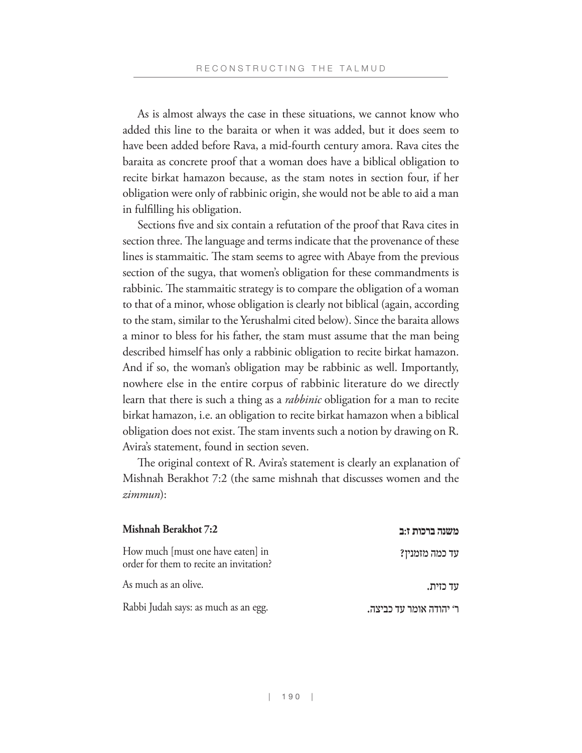As is almost always the case in these situations, we cannot know who added this line to the baraita or when it was added, but it does seem to have been added before Rava, a mid-fourth century amora. Rava cites the baraita as concrete proof that a woman does have a biblical obligation to recite birkat hamazon because, as the stam notes in section four, if her obligation were only of rabbinic origin, she would not be able to aid a man in fulflling his obligation.

Sections fve and six contain a refutation of the proof that Rava cites in section three. The language and terms indicate that the provenance of these lines is stammaitic. The stam seems to agree with Abaye from the previous section of the sugya, that women's obligation for these commandments is rabbinic. The stammaitic strategy is to compare the obligation of a woman to that of a minor, whose obligation is clearly not biblical (again, according to the stam, similar to the Yerushalmi cited below). Since the baraita allows a minor to bless for his father, the stam must assume that the man being described himself has only a rabbinic obligation to recite birkat hamazon. And if so, the woman's obligation may be rabbinic as well. Importantly, nowhere else in the entire corpus of rabbinic literature do we directly learn that there is such a thing as a *rabbinic* obligation for a man to recite birkat hamazon, i.e. an obligation to recite birkat hamazon when a biblical obligation does not exist. The stam invents such a notion by drawing on R. Avira's statement, found in section seven.

The original context of R. Avira's statement is clearly an explanation of Mishnah Berakhot 7:2 (the same mishnah that discusses women and the *zimmun*):

| Mishnah Berakhot 7:2                                                         | משנה ברכות ז:ב          |
|------------------------------------------------------------------------------|-------------------------|
| How much [must one have eaten] in<br>order for them to recite an invitation? | עד כמה מזמנין?          |
| As much as an olive.                                                         | עד כזית.                |
| Rabbi Judah says: as much as an egg.                                         | ר' יהודה אומר עד כביצה. |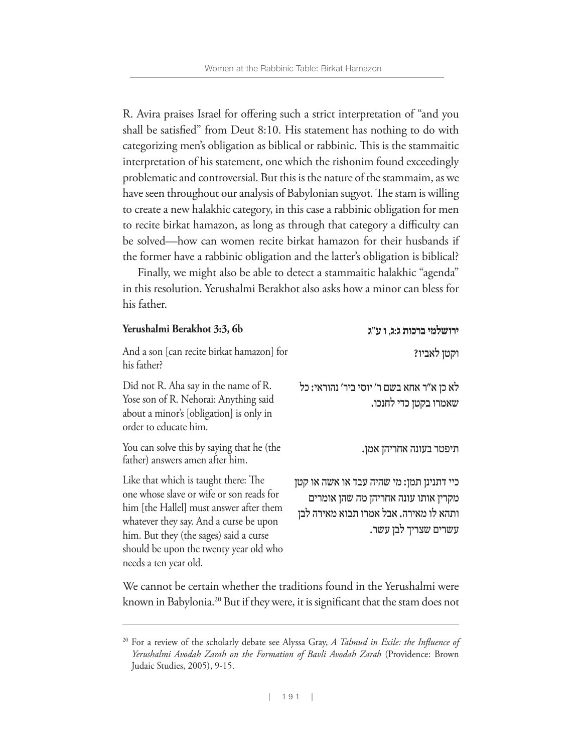R. Avira praises Israel for offering such a strict interpretation of "and you shall be satisfied" from Deut 8:10. His statement has nothing to do with categorizing men's obligation as biblical or rabbinic. This is the stammaitic interpretation of his statement, one which the rishonim found exceedingly problematic and controversial. But this is the nature of the stammaim, as we have seen throughout our analysis of Babylonian sugyot. The stam is willing to create a new halakhic category, in this case a rabbinic obligation for men to recite birkat hamazon, as long as through that category a difficulty can be solved—how can women recite birkat hamazon for their husbands if the former have a rabbinic obligation and the latter's obligation is biblical?

Finally, we might also be able to detect a stammaitic halakhic "agenda" in this resolution. Yerushalmi Berakhot also asks how a minor can bless for his father.

| Yerushalmi Berakhot 3:3, 6b                                                                                                                                                                                                                                                        | ירושלמי ברכות ג:ג, ו ע"ג                                                                                                                            |
|------------------------------------------------------------------------------------------------------------------------------------------------------------------------------------------------------------------------------------------------------------------------------------|-----------------------------------------------------------------------------------------------------------------------------------------------------|
| And a son [can recite birkat hamazon] for<br>his father?                                                                                                                                                                                                                           | וקטן לאביו?                                                                                                                                         |
| Did not R. Aha say in the name of R.<br>Yose son of R. Nehorai: Anything said<br>about a minor's [obligation] is only in<br>order to educate him.                                                                                                                                  | לא כן א״ר אחא בשם ר׳ יוסי ביר׳ נהוראי: כל<br>שאמרו בקטן כדי לחנכו.                                                                                  |
| You can solve this by saying that he (the<br>father) answers amen after him.                                                                                                                                                                                                       | תיפטר בעונה אחריהן אמן.                                                                                                                             |
| Like that which is taught there: The<br>one whose slave or wife or son reads for<br>him [the Hallel] must answer after them<br>whatever they say. And a curse be upon<br>him. But they (the sages) said a curse<br>should be upon the twenty year old who<br>needs a ten year old. | כיי דתנינן תמן: מי שהיה עבד או אשה או קטן<br>מקרין אותו עונה אחריהן מה שהן אומרים<br>ותהא לו מאירה. אבל אמרו תבוא מאירה לבן<br>עשרים שצריך לבן עשר. |

We cannot be certain whether the traditions found in the Yerushalmi were known in Babylonia.<sup>20</sup> But if they were, it is significant that the stam does not

<sup>&</sup>lt;sup>20</sup> For a review of the scholarly debate see Alyssa Gray, A Talmud in Exile: the Influence of Yerushalmi Avodah Zarah on the Formation of Bavli Avodah Zarah (Providence: Brown Judaic Studies, 2005), 9-15.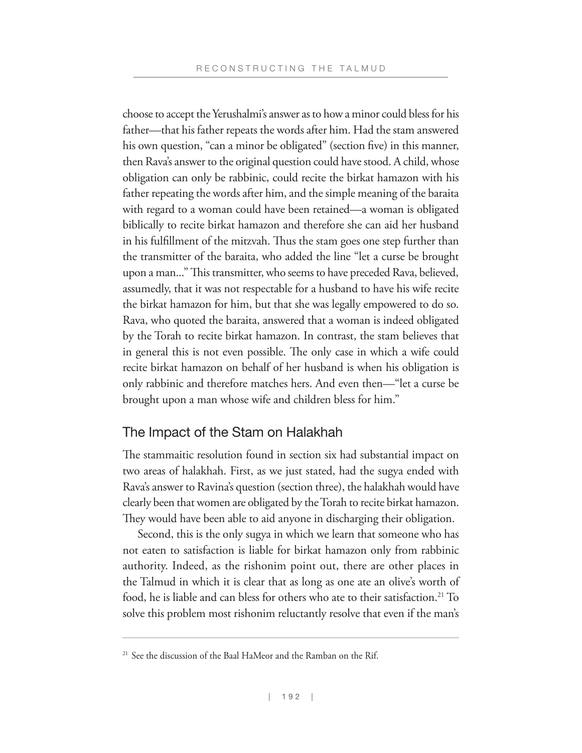choose to accept the Yerushalmi's answer as to how a minor could bless for his father—that his father repeats the words after him. Had the stam answered his own question, "can a minor be obligated" (section five) in this manner, then Rava's answer to the original question could have stood. A child, whose obligation can only be rabbinic, could recite the birkat hamazon with his father repeating the words after him, and the simple meaning of the baraita with regard to a woman could have been retained—a woman is obligated biblically to recite birkat hamazon and therefore she can aid her husband in his fulfillment of the mitzvah. Thus the stam goes one step further than the transmitter of the baraita, who added the line "let a curse be brought upon a man..." This transmitter, who seems to have preceded Rava, believed, assumedly, that it was not respectable for a husband to have his wife recite the birkat hamazon for him, but that she was legally empowered to do so. Rava, who quoted the baraita, answered that a woman is indeed obligated by the Torah to recite birkat hamazon. In contrast, the stam believes that in general this is not even possible. The only case in which a wife could recite birkat hamazon on behalf of her husband is when his obligation is only rabbinic and therefore matches hers. And even then—"let a curse be brought upon a man whose wife and children bless for him."

### The Impact of the Stam on Halakhah

The stammaitic resolution found in section six had substantial impact on two areas of halakhah. First, as we just stated, had the sugya ended with Rava's answer to Ravina's question (section three), the halakhah would have clearly been that women are obligated by the Torah to recite birkat hamazon. They would have been able to aid anyone in discharging their obligation.

Second, this is the only sugya in which we learn that someone who has not eaten to satisfaction is liable for birkat hamazon only from rabbinic authority. Indeed, as the rishonim point out, there are other places in the Talmud in which it is clear that as long as one ate an olive's worth of food, he is liable and can bless for others who ate to their satisfaction.<sup>21</sup> To solve this problem most rishonim reluctantly resolve that even if the man's

<sup>&</sup>lt;sup>21</sup> See the discussion of the Baal HaMeor and the Ramban on the Rif.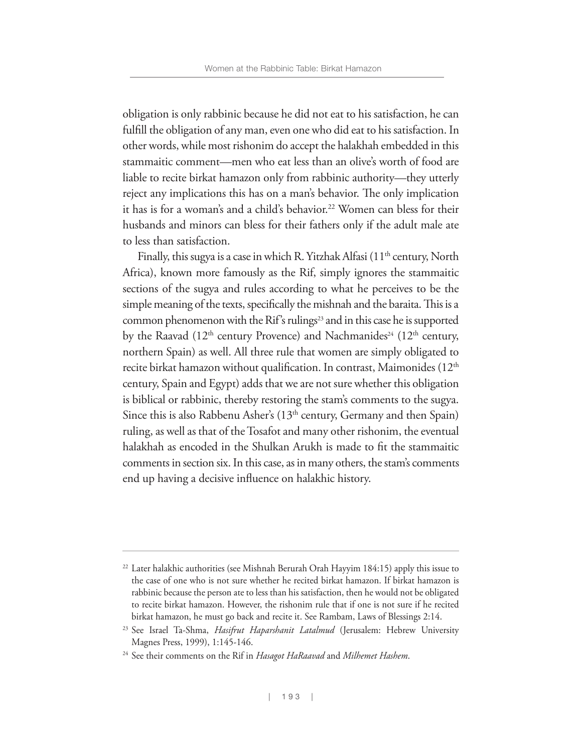obligation is only rabbinic because he did not eat to his satisfaction, he can fulfll the obligation of any man, even one who did eat to his satisfaction. In other words, while most rishonim do accept the halakhah embedded in this stammaitic comment—men who eat less than an olive's worth of food are liable to recite birkat hamazon only from rabbinic authority—they utterly reject any implications this has on a man's behavior. The only implication it has is for a woman's and a child's behavior.<sup>22</sup> Women can bless for their husbands and minors can bless for their fathers only if the adult male ate to less than satisfaction.

Finally, this sugya is a case in which R. Yitzhak Alfasi  $(11<sup>th</sup>$  century, North Africa), known more famously as the Rif, simply ignores the stammaitic sections of the sugya and rules according to what he perceives to be the simple meaning of the texts, specifically the mishnah and the baraita. This is a common phenomenon with the Rif's rulings<sup>23</sup> and in this case he is supported by the Raavad ( $12<sup>th</sup>$  century Provence) and Nachmanides<sup>24</sup> ( $12<sup>th</sup>$  century, northern Spain) as well. All three rule that women are simply obligated to recite birkat hamazon without qualification. In contrast, Maimonides  $(12<sup>th</sup>$ century, Spain and Egypt) adds that we are not sure whether this obligation is biblical or rabbinic, thereby restoring the stam's comments to the sugya. Since this is also Rabbenu Asher's  $(13<sup>th</sup>$  century, Germany and then Spain) ruling, as well as that of the Tosafot and many other rishonim, the eventual halakhah as encoded in the Shulkan Arukh is made to ft the stammaitic comments in section six. In this case, as in many others, the stam's comments end up having a decisive infuence on halakhic history.

<sup>&</sup>lt;sup>22</sup> Later halakhic authorities (see Mishnah Berurah Orah Hayyim 184:15) apply this issue to the case of one who is not sure whether he recited birkat hamazon. If birkat hamazon is rabbinic because the person ate to less than his satisfaction, then he would not be obligated to recite birkat hamazon. However, the rishonim rule that if one is not sure if he recited birkat hamazon, he must go back and recite it. See Rambam, Laws of Blessings 2:14.

<sup>23</sup> See Israel Ta-Shma, *Hasifrut Haparshanit Latalmud* (Jerusalem: Hebrew University Magnes Press, 1999), 1:145-146.

<sup>24</sup> See their comments on the Rif in *Hasagot HaRaavad* and *Milhemet Hashem*.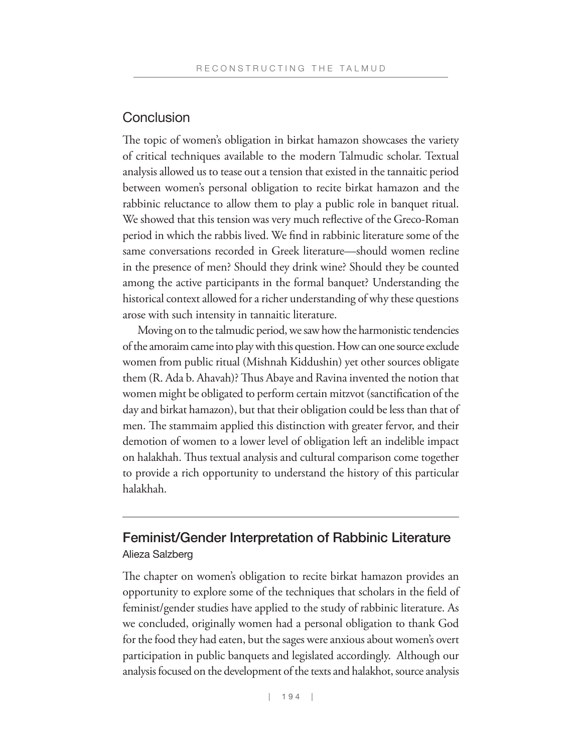## Conclusion

The topic of women's obligation in birkat hamazon showcases the variety of critical techniques available to the modern Talmudic scholar. Textual analysis allowed us to tease out a tension that existed in the tannaitic period between women's personal obligation to recite birkat hamazon and the rabbinic reluctance to allow them to play a public role in banquet ritual. We showed that this tension was very much refective of the Greco-Roman period in which the rabbis lived. We fnd in rabbinic literature some of the same conversations recorded in Greek literature—should women recline in the presence of men? Should they drink wine? Should they be counted among the active participants in the formal banquet? Understanding the historical context allowed for a richer understanding of why these questions arose with such intensity in tannaitic literature.

Moving on to the talmudic period, we saw how the harmonistic tendencies of the amoraim came into play with this question. How can one source exclude women from public ritual (Mishnah Kiddushin) yet other sources obligate them (R. Ada b. Ahavah)? Thus Abaye and Ravina invented the notion that women might be obligated to perform certain mitzvot (sanctifcation of the day and birkat hamazon), but that their obligation could be less than that of men. The stammaim applied this distinction with greater fervor, and their demotion of women to a lower level of obligation left an indelible impact on halakhah. Thus textual analysis and cultural comparison come together to provide a rich opportunity to understand the history of this particular halakhah.

# Feminist/Gender Interpretation of Rabbinic Literature

### Alieza Salzberg

The chapter on women's obligation to recite birkat hamazon provides an opportunity to explore some of the techniques that scholars in the feld of feminist/gender studies have applied to the study of rabbinic literature. As we concluded, originally women had a personal obligation to thank God for the food they had eaten, but the sages were anxious about women's overt participation in public banquets and legislated accordingly. Although our analysis focused on the development of the texts and halakhot, source analysis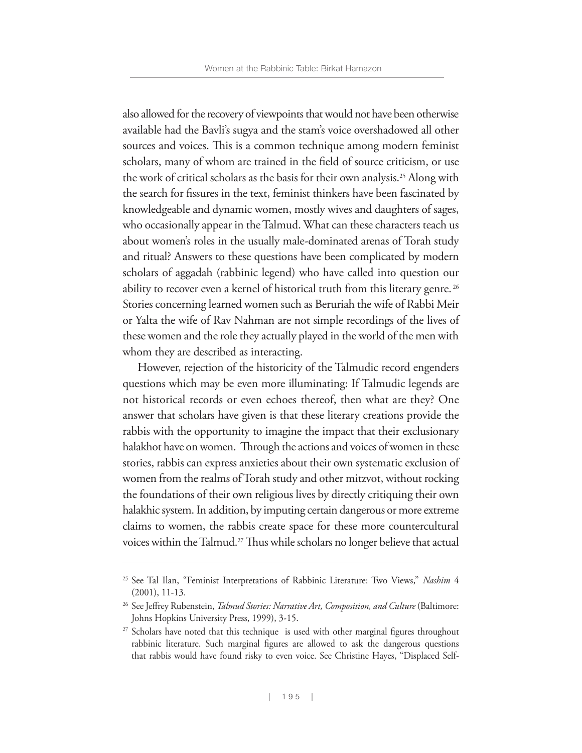also allowed for the recovery of viewpoints that would not have been otherwise available had the Bavli's sugya and the stam's voice overshadowed all other sources and voices. This is a common technique among modern feminist scholars, many of whom are trained in the feld of source criticism, or use the work of critical scholars as the basis for their own analysis.25 Along with the search for fssures in the text, feminist thinkers have been fascinated by knowledgeable and dynamic women, mostly wives and daughters of sages, who occasionally appear in the Talmud. What can these characters teach us about women's roles in the usually male-dominated arenas of Torah study and ritual? Answers to these questions have been complicated by modern scholars of aggadah (rabbinic legend) who have called into question our ability to recover even a kernel of historical truth from this literary genre. <sup>26</sup> Stories concerning learned women such as Beruriah the wife of Rabbi Meir or Yalta the wife of Rav Nahman are not simple recordings of the lives of these women and the role they actually played in the world of the men with whom they are described as interacting.

However, rejection of the historicity of the Talmudic record engenders questions which may be even more illuminating: If Talmudic legends are not historical records or even echoes thereof, then what are they? One answer that scholars have given is that these literary creations provide the rabbis with the opportunity to imagine the impact that their exclusionary halakhot have on women. Through the actions and voices of women in these stories, rabbis can express anxieties about their own systematic exclusion of women from the realms of Torah study and other mitzvot, without rocking the foundations of their own religious lives by directly critiquing their own halakhic system. In addition, by imputing certain dangerous or more extreme claims to women, the rabbis create space for these more countercultural voices within the Talmud.<sup>27</sup> Thus while scholars no longer believe that actual

<sup>25</sup> See Tal Ilan, "Feminist Interpretations of Rabbinic Literature: Two Views," *Nashim* 4 (2001), 11-13.

<sup>&</sup>lt;sup>26</sup> See Jeffrey Rubenstein, *Talmud Stories: Narrative Art, Composition, and Culture* (Baltimore: Johns Hopkins University Press, 1999), 3-15.

<sup>&</sup>lt;sup>27</sup> Scholars have noted that this technique is used with other marginal figures throughout rabbinic literature. Such marginal fgures are allowed to ask the dangerous questions that rabbis would have found risky to even voice. See Christine Hayes, "Displaced Self-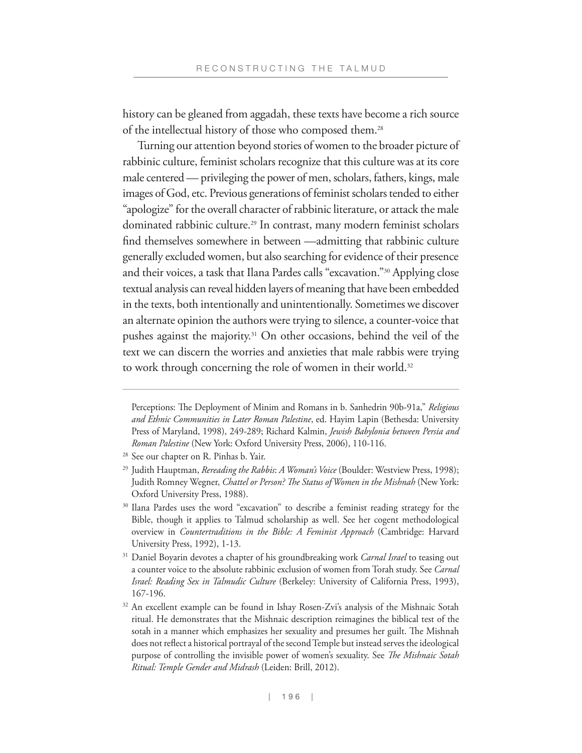history can be gleaned from aggadah, these texts have become a rich source of the intellectual history of those who composed them.28

Turning our attention beyond stories of women to the broader picture of rabbinic culture, feminist scholars recognize that this culture was at its core male centered — privileging the power of men, scholars, fathers, kings, male images of God, etc. Previous generations of feminist scholars tended to either "apologize" for the overall character of rabbinic literature, or attack the male dominated rabbinic culture.29 In contrast, many modern feminist scholars fnd themselves somewhere in between —admitting that rabbinic culture generally excluded women, but also searching for evidence of their presence and their voices, a task that Ilana Pardes calls "excavation."30 Applying close textual analysis can reveal hidden layers of meaning that have been embedded in the texts, both intentionally and unintentionally. Sometimes we discover an alternate opinion the authors were trying to silence, a counter-voice that pushes against the majority.<sup>31</sup> On other occasions, behind the veil of the text we can discern the worries and anxieties that male rabbis were trying to work through concerning the role of women in their world.<sup>32</sup>

Perceptions: The Deployment of Minim and Romans in b. Sanhedrin 90b-91a," *Religious and Ethnic Communities in Later Roman Palestine*, ed. Hayim Lapin (Bethesda: University Press of Maryland, 1998), 249-289; Richard Kalmin, *Jewish Babylonia between Persia and Roman Palestine* (New York: Oxford University Press, 2006), 110-116.

<sup>28</sup> See our chapter on R. Pinhas b. Yair.

<sup>29</sup> Judith Hauptman, *Rereading the Rabbis*: *A Woman's Voice* (Boulder: Westview Press, 1998); Judith Romney Wegner, *Chattel or Person? Te Status of Women in the Mishnah* (New York: Oxford University Press, 1988).

<sup>&</sup>lt;sup>30</sup> Ilana Pardes uses the word "excavation" to describe a feminist reading strategy for the Bible, though it applies to Talmud scholarship as well. See her cogent methodological overview in *Countertraditions in the Bible: A Feminist Approach* (Cambridge: Harvard University Press, 1992), 1-13.

<sup>31</sup> Daniel Boyarin devotes a chapter of his groundbreaking work *Carnal Israel* to teasing out a counter voice to the absolute rabbinic exclusion of women from Torah study. See *Carnal Israel: Reading Sex in Talmudic Culture* (Berkeley: University of California Press, 1993), 167-196.

 $32$  An excellent example can be found in Ishay Rosen-Zvi's analysis of the Mishnaic Sotah ritual. He demonstrates that the Mishnaic description reimagines the biblical test of the sotah in a manner which emphasizes her sexuality and presumes her guilt. The Mishnah does not refect a historical portrayal of the second Temple but instead serves the ideological purpose of controlling the invisible power of women's sexuality. See *Te Mishnaic Sotah Ritual: Temple Gender and Midrash* (Leiden: Brill, 2012).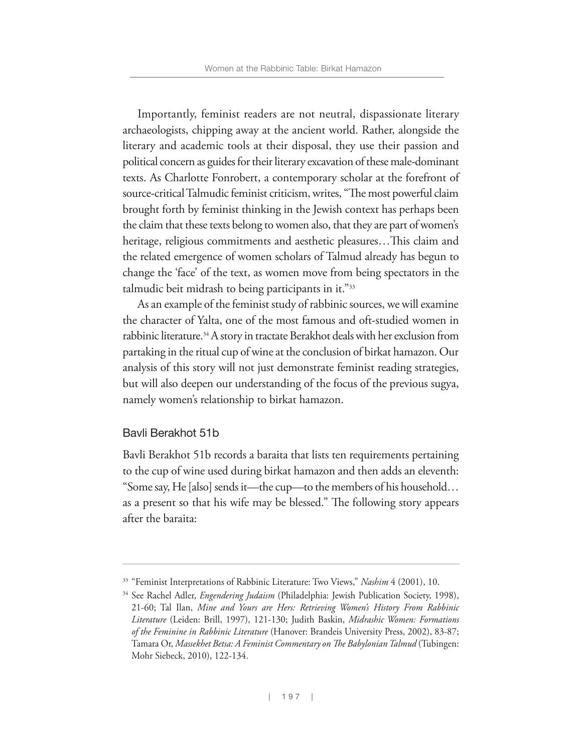Importantly, feminist readers are not neutral, dispassionate literary archaeologists, chipping away at the ancient world. Rather, alongside the literary and academic tools at their disposal, they use their passion and political concern as guides for their literary excavation of these male-dominant texts. As Charlotte Fonrobert, a contemporary scholar at the forefront of source-critical Talmudic feminist criticism, writes, "The most powerful claim brought forth by feminist thinking in the Jewish context has perhaps been the claim that these texts belong to women also, that they are part of women's heritage, religious commitments and aesthetic pleasures...This claim and the related emergence of women scholars of Talmud already has begun to change the 'face' of the text, as women move from being spectators in the talmudic beit midrash to being participants in it."33

As an example of the feminist study of rabbinic sources, we will examine the character of Yalta, one of the most famous and oft-studied women in rabbinic literature.<sup>34</sup> A story in tractate Berakhot deals with her exclusion from partaking in the ritual cup of wine at the conclusion of birkat hamazon. Our analysis of this story will not just demonstrate feminist reading strategies, but will also deepen our understanding of the focus of the previous sugya, namely women's relationship to birkat hamazon.

#### Bavli Berakhot 51b

Bavli Berakhot 51b records a baraita that lists ten requirements pertaining to the cup of wine used during birkat hamazon and then adds an eleventh: "Some say, He [also] sends it—the cup—to the members of his household… as a present so that his wife may be blessed." The following story appears after the baraita:

<sup>33</sup> "Feminist Interpretations of Rabbinic Literature: Two Views," *Nashim* 4 (2001), 10.

<sup>34</sup> See Rachel Adler, *Engendering Judaism* (Philadelphia: Jewish Publication Society, 1998), 21-60; Tal Ilan, *Mine and Yours are Hers: Retrieving Women's History From Rabbinic Literature* (Leiden: Brill, 1997), 121-130; Judith Baskin, *Midrashic Women: Formations of the Feminine in Rabbinic Literature* (Hanover: Brandeis University Press, 2002), 83-87; Tamara Or, *Massekhet Betsa: A Feminist Commentary on Te Babylonian Talmud* (Tubingen: Mohr Siebeck, 2010), 122-134.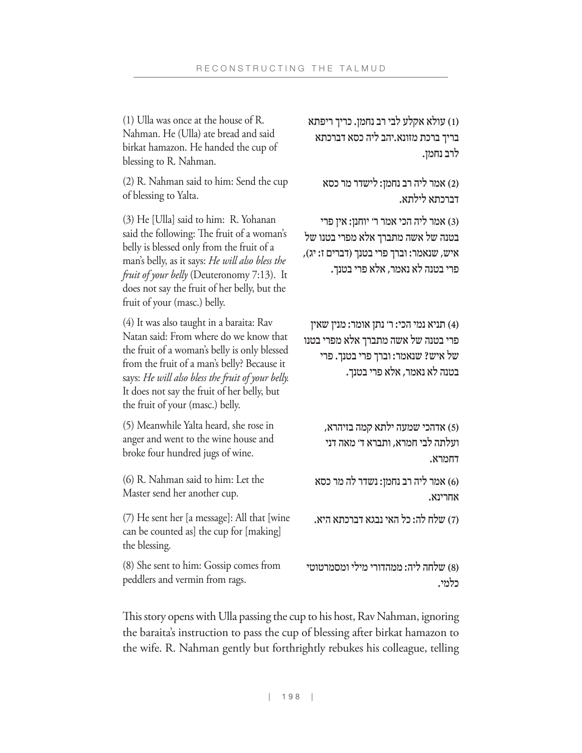(1) עולא אקלע לבי רב נחמן. כריך ריפתא בריך ברכת מזונא.יהב ליה כסא דברכתא לרב נחמו.

(2) אמר ליה רב נחמן: לישדר מר כסא דברכתא לילתא.

(3) אמר ליה הכי אמר ר׳ יוחנן: אין פרי בטנה של אשה מתברך אלא מפרי בטנו של איש, שנאמר: וברך פרי בטנך (דברים ז: יג), פרי בטנה לא נאמר, אלא פרי בטנך.

תניא נמי הכי: ר' נתן אומר: מנין שאין (4) פרי בטנה של אשה מתברך אלא מפרי בטנו של איש? שנאמר: וברך פרי בטנך. פרי בטנה לא נאמר, אלא פרי בטנך.

> (5) אדהכי שמעה ילתא קמה בזיהרא, ועלתה לבי חמרא, ותברא ד' מאה דני דחמרא.

(6) אמר ליה רב נחמן: נשדר לה מר כסא אחרינא.

(7) שלח לה: כל האי נבגא דברכתא היא.

(8) שלחה ליה: ממהדורי מילי ומסמרטוטי כלמי.

This story opens with Ulla passing the cup to his host, Rav Nahman, ignoring the baraita's instruction to pass the cup of blessing after birkat hamazon to the wife. R. Nahman gently but forthrightly rebukes his colleague, telling

fruit of your (masc.) belly. (4) It was also taught in a baraita: Rav Natan said: From where do we know that

the fruit of a woman's belly is only blessed from the fruit of a man's belly? Because it says: He will also bless the fruit of your belly. It does not say the fruit of her belly, but the fruit of your (masc.) belly.

 $(1)$  Ulla was once at the house of R.

blessing to R. Nahman.

of blessing to Yalta.

Nahman. He (Ulla) ate bread and said

birkat hamazon. He handed the cup of

(2) R. Nahman said to him: Send the cup

(3) He [Ulla] said to him: R. Yohanan

belly is blessed only from the fruit of a

said the following: The fruit of a woman's

man's belly, as it says: He will also bless the

*fruit of your belly* (Deuteronomy 7:13). It does not say the fruit of her belly, but the

(5) Meanwhile Yalta heard, she rose in anger and went to the wine house and broke four hundred jugs of wine.

(6) R. Nahman said to him: Let the Master send her another cup.

(7) He sent her [a message]: All that [wine] can be counted as] the cup for [making] the blessing.

(8) She sent to him: Gossip comes from peddlers and vermin from rags.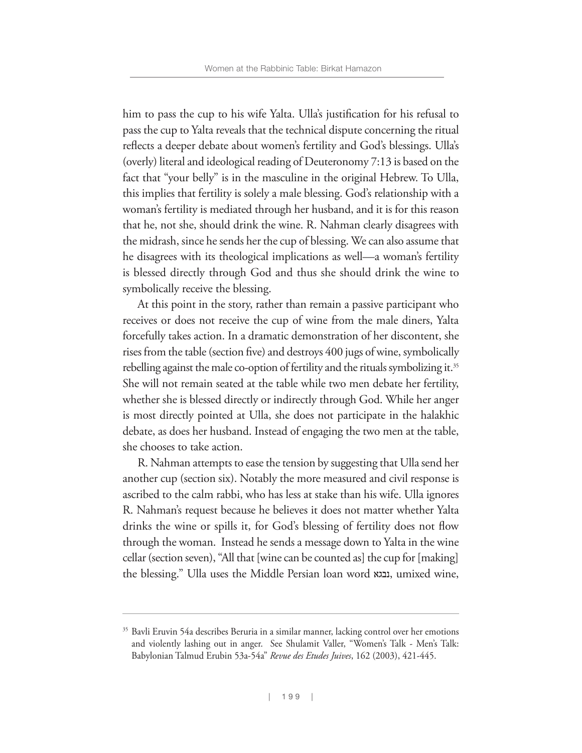him to pass the cup to his wife Yalta. Ulla's justifcation for his refusal to pass the cup to Yalta reveals that the technical dispute concerning the ritual refects a deeper debate about women's fertility and God's blessings. Ulla's (overly) literal and ideological reading of Deuteronomy 7:13 is based on the fact that "your belly" is in the masculine in the original Hebrew. To Ulla, this implies that fertility is solely a male blessing. God's relationship with a woman's fertility is mediated through her husband, and it is for this reason that he, not she, should drink the wine. R. Nahman clearly disagrees with the midrash, since he sends her the cup of blessing. We can also assume that he disagrees with its theological implications as well—a woman's fertility is blessed directly through God and thus she should drink the wine to symbolically receive the blessing.

At this point in the story, rather than remain a passive participant who receives or does not receive the cup of wine from the male diners, Yalta forcefully takes action. In a dramatic demonstration of her discontent, she rises from the table (section fve) and destroys 400 jugs of wine, symbolically rebelling against the male co-option of fertility and the rituals symbolizing it.35 She will not remain seated at the table while two men debate her fertility, whether she is blessed directly or indirectly through God. While her anger is most directly pointed at Ulla, she does not participate in the halakhic debate, as does her husband. Instead of engaging the two men at the table, she chooses to take action.

R. Nahman attempts to ease the tension by suggesting that Ulla send her another cup (section six). Notably the more measured and civil response is ascribed to the calm rabbi, who has less at stake than his wife. Ulla ignores R. Nahman's request because he believes it does not matter whether Yalta drinks the wine or spills it, for God's blessing of fertility does not flow through the woman. Instead he sends a message down to Yalta in the wine cellar (section seven), "All that [wine can be counted as] the cup for [making] the blessing." Ulla uses the Middle Persian loan word **Luck**, umixed wine,

<sup>35</sup> Bavli Eruvin 54a describes Beruria in a similar manner, lacking control over her emotions and violently lashing out in anger. See Shulamit Valler, "Women's Talk - Men's Talk: Babylonian Talmud Erubin 53a-54a" *Revue des Etudes Juives*, 162 (2003), 421-445.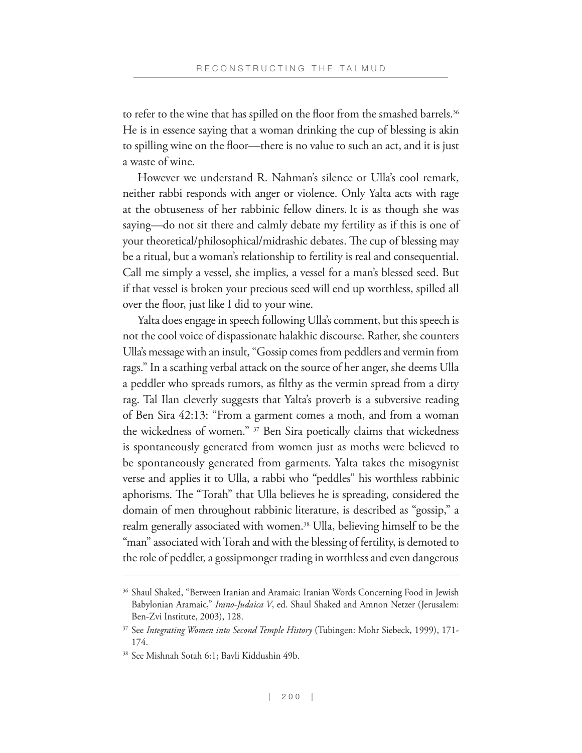to refer to the wine that has spilled on the floor from the smashed barrels.<sup>36</sup> He is in essence saying that a woman drinking the cup of blessing is akin to spilling wine on the foor—there is no value to such an act, and it is just a waste of wine.

However we understand R. Nahman's silence or Ulla's cool remark, neither rabbi responds with anger or violence. Only Yalta acts with rage at the obtuseness of her rabbinic fellow diners. It is as though she was saying—do not sit there and calmly debate my fertility as if this is one of your theoretical/philosophical/midrashic debates. The cup of blessing may be a ritual, but a woman's relationship to fertility is real and consequential. Call me simply a vessel, she implies, a vessel for a man's blessed seed. But if that vessel is broken your precious seed will end up worthless, spilled all over the foor, just like I did to your wine.

Yalta does engage in speech following Ulla's comment, but this speech is not the cool voice of dispassionate halakhic discourse. Rather, she counters Ulla's message with an insult, "Gossip comes from peddlers and vermin from rags." In a scathing verbal attack on the source of her anger, she deems Ulla a peddler who spreads rumors, as flthy as the vermin spread from a dirty rag. Tal Ilan cleverly suggests that Yalta's proverb is a subversive reading of Ben Sira 42:13: "From a garment comes a moth, and from a woman the wickedness of women." 37 Ben Sira poetically claims that wickedness is spontaneously generated from women just as moths were believed to be spontaneously generated from garments. Yalta takes the misogynist verse and applies it to Ulla, a rabbi who "peddles" his worthless rabbinic aphorisms. The "Torah" that Ulla believes he is spreading, considered the domain of men throughout rabbinic literature, is described as "gossip," a realm generally associated with women.<sup>38</sup> Ulla, believing himself to be the "man" associated with Torah and with the blessing of fertility, is demoted to the role of peddler, a gossipmonger trading in worthless and even dangerous

<sup>&</sup>lt;sup>36</sup> Shaul Shaked, "Between Iranian and Aramaic: Iranian Words Concerning Food in Jewish Babylonian Aramaic," *Irano-Judaica V*, ed. Shaul Shaked and Amnon Netzer (Jerusalem: Ben-Zvi Institute, 2003), 128.

<sup>37</sup> See *Integrating Women into Second Temple History* (Tubingen: Mohr Siebeck, 1999), 171- 174.

<sup>38</sup> See Mishnah Sotah 6:1; Bavli Kiddushin 49b.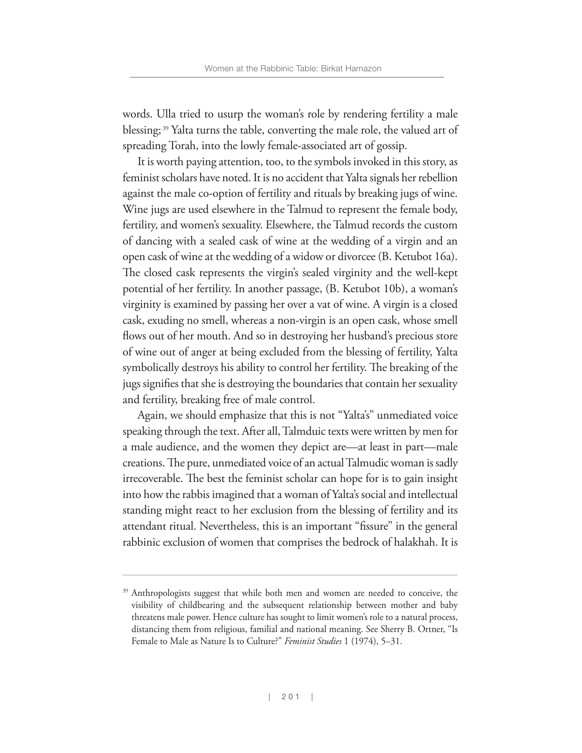words. Ulla tried to usurp the woman's role by rendering fertility a male blessing; 39 Yalta turns the table, converting the male role, the valued art of spreading Torah, into the lowly female-associated art of gossip.

It is worth paying attention, too, to the symbols invoked in this story, as feminist scholars have noted. It is no accident that Yalta signals her rebellion against the male co-option of fertility and rituals by breaking jugs of wine. Wine jugs are used elsewhere in the Talmud to represent the female body, fertility, and women's sexuality. Elsewhere, the Talmud records the custom of dancing with a sealed cask of wine at the wedding of a virgin and an open cask of wine at the wedding of a widow or divorcee (B. Ketubot 16a). The closed cask represents the virgin's sealed virginity and the well-kept potential of her fertility. In another passage, (B. Ketubot 10b), a woman's virginity is examined by passing her over a vat of wine. A virgin is a closed cask, exuding no smell, whereas a non-virgin is an open cask, whose smell fows out of her mouth. And so in destroying her husband's precious store of wine out of anger at being excluded from the blessing of fertility, Yalta symbolically destroys his ability to control her fertility. The breaking of the jugs signifes that she is destroying the boundaries that contain her sexuality and fertility, breaking free of male control.

Again, we should emphasize that this is not "Yalta's" unmediated voice speaking through the text. After all, Talmduic texts were written by men for a male audience, and the women they depict are—at least in part—male creations. The pure, unmediated voice of an actual Talmudic woman is sadly irrecoverable. The best the feminist scholar can hope for is to gain insight into how the rabbis imagined that a woman of Yalta's social and intellectual standing might react to her exclusion from the blessing of fertility and its attendant ritual. Nevertheless, this is an important "fssure" in the general rabbinic exclusion of women that comprises the bedrock of halakhah. It is

<sup>&</sup>lt;sup>39</sup> Anthropologists suggest that while both men and women are needed to conceive, the visibility of childbearing and the subsequent relationship between mother and baby threatens male power. Hence culture has sought to limit women's role to a natural process, distancing them from religious, familial and national meaning. See Sherry B. Ortner, "Is Female to Male as Nature Is to Culture?" *Feminist Studies* 1 (1974), 5–31.